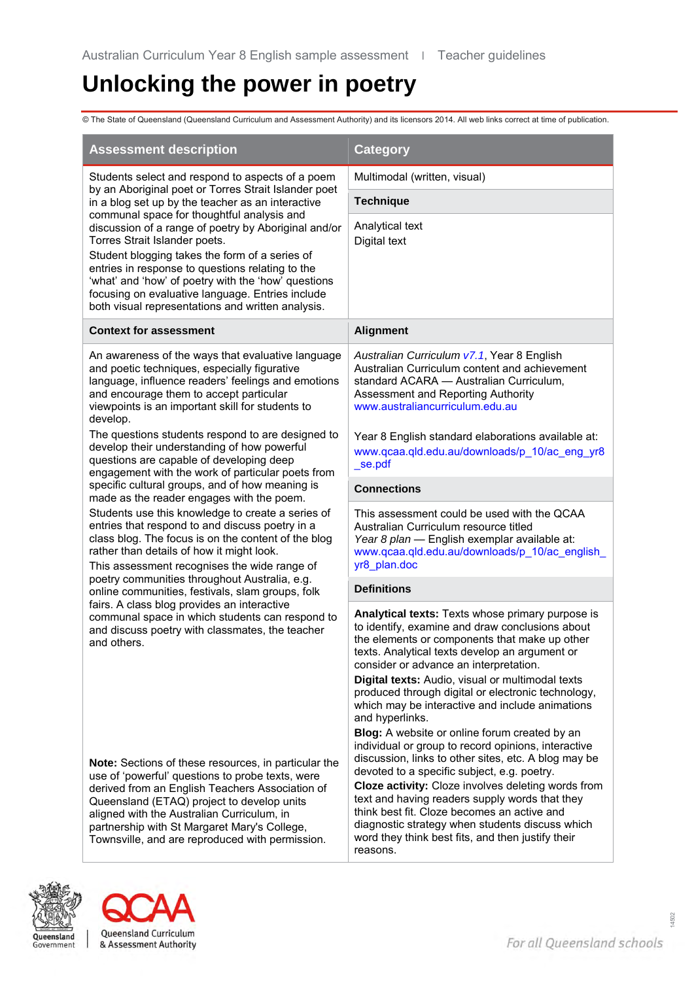# **Unlocking the power in poetry**

© The State of Queensland (Queensland Curriculum and Assessment Authority) and its licensors 2014. All web links correct at time of publication.

| <b>Assessment description</b>                                                                                                                                                                                                                                                                                                                                                                             | <b>Category</b>                                                                                                                                                                                                                                                                                                                                                                                                                                                                                                                          |  |  |
|-----------------------------------------------------------------------------------------------------------------------------------------------------------------------------------------------------------------------------------------------------------------------------------------------------------------------------------------------------------------------------------------------------------|------------------------------------------------------------------------------------------------------------------------------------------------------------------------------------------------------------------------------------------------------------------------------------------------------------------------------------------------------------------------------------------------------------------------------------------------------------------------------------------------------------------------------------------|--|--|
| Students select and respond to aspects of a poem                                                                                                                                                                                                                                                                                                                                                          | Multimodal (written, visual)                                                                                                                                                                                                                                                                                                                                                                                                                                                                                                             |  |  |
| by an Aboriginal poet or Torres Strait Islander poet<br>in a blog set up by the teacher as an interactive                                                                                                                                                                                                                                                                                                 | <b>Technique</b>                                                                                                                                                                                                                                                                                                                                                                                                                                                                                                                         |  |  |
| communal space for thoughtful analysis and<br>discussion of a range of poetry by Aboriginal and/or<br>Torres Strait Islander poets.<br>Student blogging takes the form of a series of<br>entries in response to questions relating to the<br>'what' and 'how' of poetry with the 'how' questions<br>focusing on evaluative language. Entries include<br>both visual representations and written analysis. | Analytical text<br>Digital text                                                                                                                                                                                                                                                                                                                                                                                                                                                                                                          |  |  |
| <b>Context for assessment</b>                                                                                                                                                                                                                                                                                                                                                                             | <b>Alignment</b>                                                                                                                                                                                                                                                                                                                                                                                                                                                                                                                         |  |  |
| An awareness of the ways that evaluative language<br>and poetic techniques, especially figurative<br>language, influence readers' feelings and emotions<br>and encourage them to accept particular<br>viewpoints is an important skill for students to<br>develop.                                                                                                                                        | Australian Curriculum v7.1, Year 8 English<br>Australian Curriculum content and achievement<br>standard ACARA - Australian Curriculum,<br>Assessment and Reporting Authority<br>www.australiancurriculum.edu.au                                                                                                                                                                                                                                                                                                                          |  |  |
| The questions students respond to are designed to<br>develop their understanding of how powerful<br>questions are capable of developing deep<br>engagement with the work of particular poets from                                                                                                                                                                                                         | Year 8 English standard elaborations available at:<br>www.qcaa.qld.edu.au/downloads/p_10/ac_eng_yr8<br>se.pdf                                                                                                                                                                                                                                                                                                                                                                                                                            |  |  |
| specific cultural groups, and of how meaning is<br>made as the reader engages with the poem.                                                                                                                                                                                                                                                                                                              | <b>Connections</b>                                                                                                                                                                                                                                                                                                                                                                                                                                                                                                                       |  |  |
| Students use this knowledge to create a series of<br>entries that respond to and discuss poetry in a<br>class blog. The focus is on the content of the blog<br>rather than details of how it might look.<br>This assessment recognises the wide range of                                                                                                                                                  | This assessment could be used with the QCAA<br>Australian Curriculum resource titled<br>Year 8 plan - English exemplar available at:<br>www.qcaa.qld.edu.au/downloads/p_10/ac_english_<br>yr8_plan.doc                                                                                                                                                                                                                                                                                                                                   |  |  |
| poetry communities throughout Australia, e.g.<br>online communities, festivals, slam groups, folk                                                                                                                                                                                                                                                                                                         | <b>Definitions</b>                                                                                                                                                                                                                                                                                                                                                                                                                                                                                                                       |  |  |
| fairs. A class blog provides an interactive<br>communal space in which students can respond to<br>and discuss poetry with classmates, the teacher<br>and others.                                                                                                                                                                                                                                          | Analytical texts: Texts whose primary purpose is<br>to identify, examine and draw conclusions about<br>the elements or components that make up other<br>texts. Analytical texts develop an argument or<br>consider or advance an interpretation.<br>Digital texts: Audio, visual or multimodal texts<br>produced through digital or electronic technology,<br>which may be interactive and include animations<br>and hyperlinks.<br>Blog: A website or online forum created by an<br>individual or group to record opinions, interactive |  |  |
| Note: Sections of these resources, in particular the<br>use of 'powerful' questions to probe texts, were<br>derived from an English Teachers Association of<br>Queensland (ETAQ) project to develop units<br>aligned with the Australian Curriculum, in<br>partnership with St Margaret Mary's College,<br>Townsville, and are reproduced with permission.                                                | discussion, links to other sites, etc. A blog may be<br>devoted to a specific subject, e.g. poetry.<br>Cloze activity: Cloze involves deleting words from<br>text and having readers supply words that they<br>think best fit. Cloze becomes an active and<br>diagnostic strategy when students discuss which<br>word they think best fits, and then justify their<br>reasons.                                                                                                                                                           |  |  |



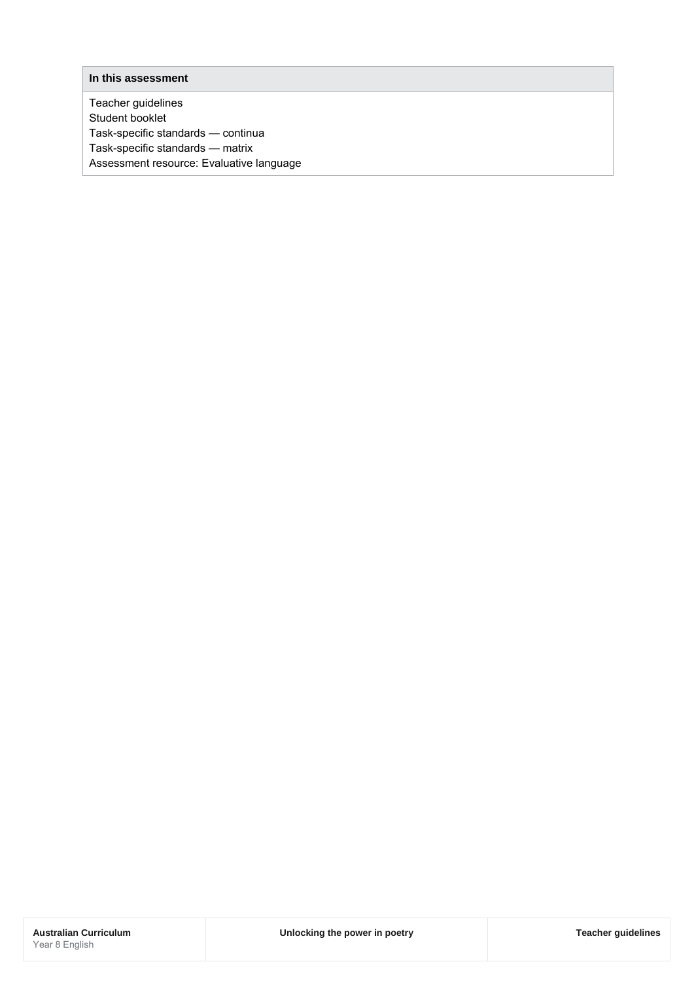#### **In this assessment**

Teacher guidelines Student booklet Task-specific standards — continua Task-specific standards — matrix Assessment resource: Evaluative language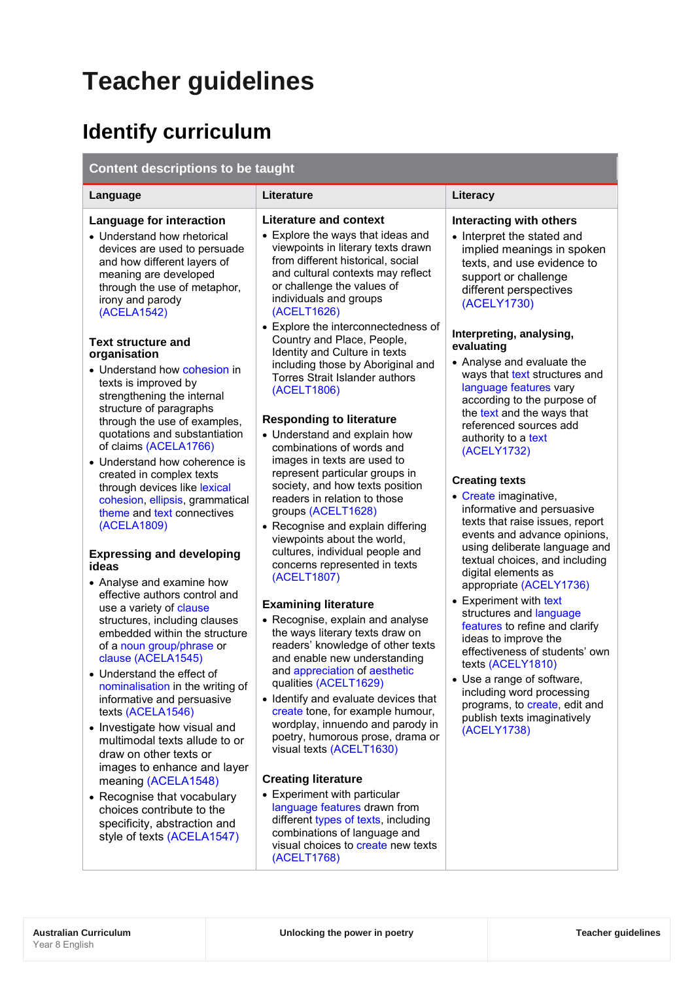# **Teacher guidelines**

# **Identify curriculum**

## **Content descriptions to be taught**

| Language                                                                                                                                                                                                                                                                                                                                                                                                                                                                                                                                                                                                                                                                                                                                                                                                                                                                                                                                                                                                                                                                                     | Literature                                                                                                                                                                                                                                                                                                                                                                                                                                                                                                                                                                                                                                                                                                                                                                                                                                                                                                                                                                                                                                                                                                                                                                                                               | Literacy                                                                                                                                                                                                                                                                                                                                                                                                                                                                                                                                                                                                                                                                                                                                                                                                                                             |  |  |
|----------------------------------------------------------------------------------------------------------------------------------------------------------------------------------------------------------------------------------------------------------------------------------------------------------------------------------------------------------------------------------------------------------------------------------------------------------------------------------------------------------------------------------------------------------------------------------------------------------------------------------------------------------------------------------------------------------------------------------------------------------------------------------------------------------------------------------------------------------------------------------------------------------------------------------------------------------------------------------------------------------------------------------------------------------------------------------------------|--------------------------------------------------------------------------------------------------------------------------------------------------------------------------------------------------------------------------------------------------------------------------------------------------------------------------------------------------------------------------------------------------------------------------------------------------------------------------------------------------------------------------------------------------------------------------------------------------------------------------------------------------------------------------------------------------------------------------------------------------------------------------------------------------------------------------------------------------------------------------------------------------------------------------------------------------------------------------------------------------------------------------------------------------------------------------------------------------------------------------------------------------------------------------------------------------------------------------|------------------------------------------------------------------------------------------------------------------------------------------------------------------------------------------------------------------------------------------------------------------------------------------------------------------------------------------------------------------------------------------------------------------------------------------------------------------------------------------------------------------------------------------------------------------------------------------------------------------------------------------------------------------------------------------------------------------------------------------------------------------------------------------------------------------------------------------------------|--|--|
| Language for interaction<br>• Understand how rhetorical<br>devices are used to persuade<br>and how different layers of<br>meaning are developed<br>through the use of metaphor,<br>irony and parody<br>(ACELA1542)                                                                                                                                                                                                                                                                                                                                                                                                                                                                                                                                                                                                                                                                                                                                                                                                                                                                           | <b>Literature and context</b><br>• Explore the ways that ideas and<br>viewpoints in literary texts drawn<br>from different historical, social<br>and cultural contexts may reflect<br>or challenge the values of<br>individuals and groups<br>(ACELT1626)<br>• Explore the interconnectedness of                                                                                                                                                                                                                                                                                                                                                                                                                                                                                                                                                                                                                                                                                                                                                                                                                                                                                                                         | Interacting with others<br>• Interpret the stated and<br>implied meanings in spoken<br>texts, and use evidence to<br>support or challenge<br>different perspectives<br>(ACELY1730)                                                                                                                                                                                                                                                                                                                                                                                                                                                                                                                                                                                                                                                                   |  |  |
| <b>Text structure and</b><br>organisation<br>• Understand how cohesion in<br>texts is improved by<br>strengthening the internal<br>structure of paragraphs<br>through the use of examples,<br>quotations and substantiation<br>of claims (ACELA1766)<br>• Understand how coherence is<br>created in complex texts<br>through devices like lexical<br>cohesion, ellipsis, grammatical<br>theme and text connectives<br>(ACELA1809)<br><b>Expressing and developing</b><br>ideas<br>• Analyse and examine how<br>effective authors control and<br>use a variety of clause<br>structures, including clauses<br>embedded within the structure<br>of a noun group/phrase or<br>clause (ACELA1545)<br>• Understand the effect of<br>nominalisation in the writing of<br>informative and persuasive<br>texts (ACELA1546)<br>• Investigate how visual and<br>multimodal texts allude to or<br>draw on other texts or<br>images to enhance and layer<br>meaning (ACELA1548)<br>• Recognise that vocabulary<br>choices contribute to the<br>specificity, abstraction and<br>style of texts (ACELA1547) | Country and Place, People,<br>Identity and Culture in texts<br>including those by Aboriginal and<br><b>Torres Strait Islander authors</b><br>(ACELT1806)<br><b>Responding to literature</b><br>• Understand and explain how<br>combinations of words and<br>images in texts are used to<br>represent particular groups in<br>society, and how texts position<br>readers in relation to those<br>groups (ACELT1628)<br>• Recognise and explain differing<br>viewpoints about the world,<br>cultures, individual people and<br>concerns represented in texts<br>(ACELT1807)<br><b>Examining literature</b><br>• Recognise, explain and analyse<br>the ways literary texts draw on<br>readers' knowledge of other texts<br>and enable new understanding<br>and appreciation of aesthetic<br>qualities (ACELT1629)<br>• Identify and evaluate devices that<br>create tone, for example humour,<br>wordplay, innuendo and parody in<br>poetry, humorous prose, drama or<br>visual texts (ACELT1630)<br><b>Creating literature</b><br>• Experiment with particular<br>language features drawn from<br>different types of texts, including<br>combinations of language and<br>visual choices to create new texts<br>(ACELT1768) | Interpreting, analysing,<br>evaluating<br>• Analyse and evaluate the<br>ways that text structures and<br>language features vary<br>according to the purpose of<br>the text and the ways that<br>referenced sources add<br>authority to a text<br>(ACELY1732)<br><b>Creating texts</b><br>• Create imaginative,<br>informative and persuasive<br>texts that raise issues, report<br>events and advance opinions,<br>using deliberate language and<br>textual choices, and including<br>digital elements as<br>appropriate (ACELY1736)<br>• Experiment with text<br>structures and language<br>features to refine and clarify<br>ideas to improve the<br>effectiveness of students' own<br>texts (ACELY1810)<br>• Use a range of software,<br>including word processing<br>programs, to create, edit and<br>publish texts imaginatively<br>(ACELY1738) |  |  |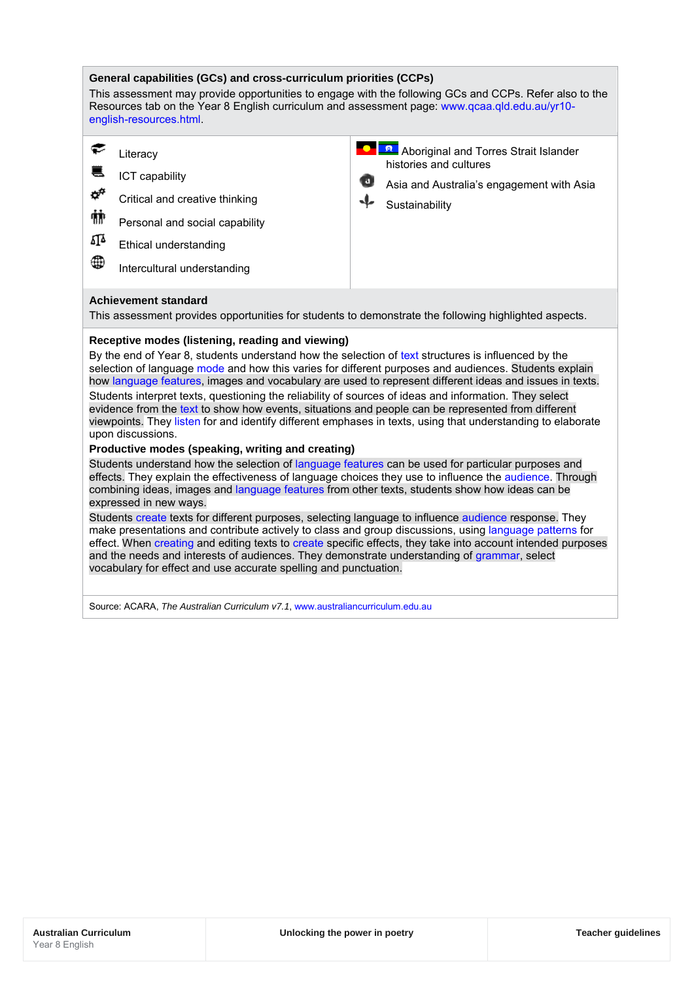#### **General capabilities (GCs) and cross-curriculum priorities (CCPs)** This assessment may provide opportunities to engage with the following GCs and CCPs. Refer also to the Resources tab on the Year 8 English curriculum and assessment page: [www.qcaa.qld.edu.au/yr10](http://www.qcaa.qld.edu.au/yr10-english-resources.html) [english-resources.html.](http://www.qcaa.qld.edu.au/yr10-english-resources.html) € **A** Aboriginal and Torres Strait Islander **Literacy** histories and cultures € ICT capability Asia and Australia's engagement with Asia ರ್ Critical and creative thinking **Sustainability** 辅 Personal and social capability ΔĨΔ Ethical understanding ⊕ Intercultural understanding **Achievement standard** This assessment provides opportunities for students to demonstrate the following highlighted aspects. **Receptive modes (listening, reading and viewing)** By the end of Year 8, students understand how the selection of [text](http://www.australiancurriculum.edu.au/glossary/popup?a=E&t=text) structures is influenced by the selection of language [mode](http://www.australiancurriculum.edu.au/glossary/popup?a=E&t=mode) and how this varies for different purposes and audiences. Students explain how [language features,](http://www.australiancurriculum.edu.au/glossary/popup?a=E&t=language+features) images and vocabulary are used to represent different ideas and issues in texts. Students interpret texts, questioning the reliability of sources of ideas and information. They select evidence from th[e text](http://www.australiancurriculum.edu.au/glossary/popup?a=E&t=text) to show how events, situations and people can be represented from different viewpoints. They [listen](http://www.australiancurriculum.edu.au/glossary/popup?a=E&t=listen) for and identify different emphases in texts, using that understanding to elaborate upon discussions.

### **Productive modes (speaking, writing and creating)**

Students understand how the selection of [language features](http://www.australiancurriculum.edu.au/glossary/popup?a=E&t=language+features) can be used for particular purposes and effects. They explain the effectiveness of language choices they use to influence the [audience.](http://www.australiancurriculum.edu.au/glossary/popup?a=E&t=audience) Through combining ideas, images and [language features](http://www.australiancurriculum.edu.au/glossary/popup?a=E&t=language+features) from other texts, students show how ideas can be expressed in new ways.

Student[s create](http://www.australiancurriculum.edu.au/glossary/popup?a=E&t=create) texts for different purposes, selecting language to influence [audience](http://www.australiancurriculum.edu.au/glossary/popup?a=E&t=audience) response. They make presentations and contribute actively to class and group discussions, using [language patterns](http://www.australiancurriculum.edu.au/glossary/popup?a=E&t=language+patterns) for effect. When [creating](http://www.australiancurriculum.edu.au/glossary/popup?a=E&t=creating) and editing texts to [create](http://www.australiancurriculum.edu.au/glossary/popup?a=E&t=create) specific effects, they take into account intended purposes and the needs and interests of audiences. They demonstrate understanding of [grammar,](http://www.australiancurriculum.edu.au/glossary/popup?a=E&t=grammar) select vocabulary for effect and use accurate spelling and punctuation.

Source: ACARA, *The Australian Curriculum v7.1*[, www.australiancurriculum.edu.au](http://www.australiancurriculum.edu.au/)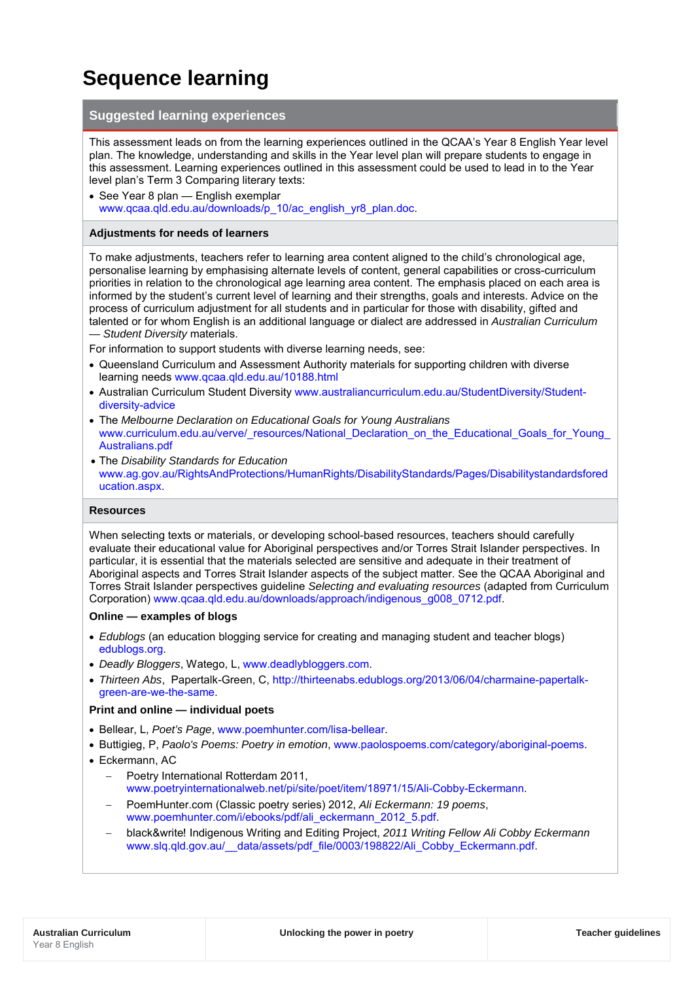## **Sequence learning**

## **Suggested learning experiences**

This assessment leads on from the learning experiences outlined in the QCAA's Year 8 English Year level plan. The knowledge, understanding and skills in the Year level plan will prepare students to engage in this assessment. Learning experiences outlined in this assessment could be used to lead in to the Year level plan's Term 3 Comparing literary texts:

• See Year 8 plan — English exemplar [www.qcaa.qld.edu.au/downloads/p\\_10/ac\\_english\\_yr8\\_plan.doc.](http://www.qcaa.qld.edu.au/downloads/p_10/ac_english_yr8_plan.doc)

### **Adjustments for needs of learners**

To make adjustments, teachers refer to learning area content aligned to the child's chronological age, personalise learning by emphasising alternate levels of content, general capabilities or cross-curriculum priorities in relation to the chronological age learning area content. The emphasis placed on each area is informed by the student's current level of learning and their strengths, goals and interests. Advice on the process of curriculum adjustment for all students and in particular for those with disability, gifted and talented or for whom English is an additional language or dialect are addressed in *Australian Curriculum — Student Diversity* materials.

For information to support students with diverse learning needs, see:

- Queensland Curriculum and Assessment Authority materials for supporting children with diverse learning needs [www.qcaa.qld.edu.au/10188.html](http://www.qcaa.qld.edu.au/10188.html)
- Australian Curriculum Student Diversity [www.australiancurriculum.edu.au/StudentDiversity/Student](http://www.australiancurriculum.edu.au/StudentDiversity/Student-diversity-advice)[diversity-advice](http://www.australiancurriculum.edu.au/StudentDiversity/Student-diversity-advice)
- The *Melbourne Declaration on Educational Goals for Young Australians* [www.curriculum.edu.au/verve/\\_resources/National\\_Declaration\\_on\\_the\\_Educational\\_Goals\\_for\\_Young\\_](http://www.curriculum.edu.au/verve/_resources/National_Declaration_on_the_Educational_Goals_for_Young_Australians.pdf) [Australians.pdf](http://www.curriculum.edu.au/verve/_resources/National_Declaration_on_the_Educational_Goals_for_Young_Australians.pdf)
- The *Disability Standards for Education* [www.ag.gov.au/RightsAndProtections/HumanRights/DisabilityStandards/Pages/Disabilitystandardsfored](http://www.ag.gov.au/RightsAndProtections/HumanRights/DisabilityStandards/Pages/Disabilitystandardsforeducation.aspx) [ucation.aspx.](http://www.ag.gov.au/RightsAndProtections/HumanRights/DisabilityStandards/Pages/Disabilitystandardsforeducation.aspx)

### **Resources**

When selecting texts or materials, or developing school-based resources, teachers should carefully evaluate their educational value for Aboriginal perspectives and/or Torres Strait Islander perspectives. In particular, it is essential that the materials selected are sensitive and adequate in their treatment of Aboriginal aspects and Torres Strait Islander aspects of the subject matter. See the QCAA Aboriginal and Torres Strait Islander perspectives guideline *Selecting and evaluating resources* (adapted from Curriculum Corporation) [www.qcaa.qld.edu.au/downloads/approach/indigenous\\_g008\\_0712.pdf.](http://www.qcaa.qld.edu.au/downloads/approach/indigenous_g008_0712.pdf)

#### **Online — examples of blogs**

- *Edublogs* (an education blogging service for creating and managing student and teacher blogs) [edublogs.org.](https://edublogs.org/)
- *Deadly Bloggers*, Watego, L[, www.deadlybloggers.com.](http://www.deadlybloggers.com/)
- *Thirteen Abs*, Papertalk-Green, C, [http://thirteenabs.edublogs.org/2013/06/04/charmaine-papertalk](http://thirteenabs.edublogs.org/2013/06/04/charmaine-papertalk-green-are-we-the-same/)[green-are-we-the-same.](http://thirteenabs.edublogs.org/2013/06/04/charmaine-papertalk-green-are-we-the-same/)

### **Print and online — individual poets**

- Bellear, L, *Poet's Page*, [www.poemhunter.com/lisa-bellear.](http://www.poemhunter.com/lisa-bellear/)
- Buttigieg, P, *Paolo's Poems: Poetry in emotion*, [www.paolospoems.com/category/aboriginal-poems.](http://www.paolospoems.com/category/aboriginal-poems/)
- Eckermann, AC
	- − Poetry International Rotterdam 2011, [www.poetryinternationalweb.net/pi/site/poet/item/18971/15/Ali-Cobby-Eckermann.](http://www.poetryinternationalweb.net/pi/site/poet/item/18971/15/Ali-Cobby-Eckermann)
	- − PoemHunter.com (Classic poetry series) 2012, *Ali Eckermann: 19 poems*, [www.poemhunter.com/i/ebooks/pdf/ali\\_eckermann\\_2012\\_5.pdf.](http://www.poemhunter.com/i/ebooks/pdf/ali_eckermann_2012_5.pdf)
	- − black&write! Indigenous Writing and Editing Project, *2011 Writing Fellow Ali Cobby Eckermann* [www.slq.qld.gov.au/\\_\\_data/assets/pdf\\_file/0003/198822/Ali\\_Cobby\\_Eckermann.pdf.](http://www.slq.qld.gov.au/__data/assets/pdf_file/0003/198822/Ali_Cobby_Eckermann.pdf)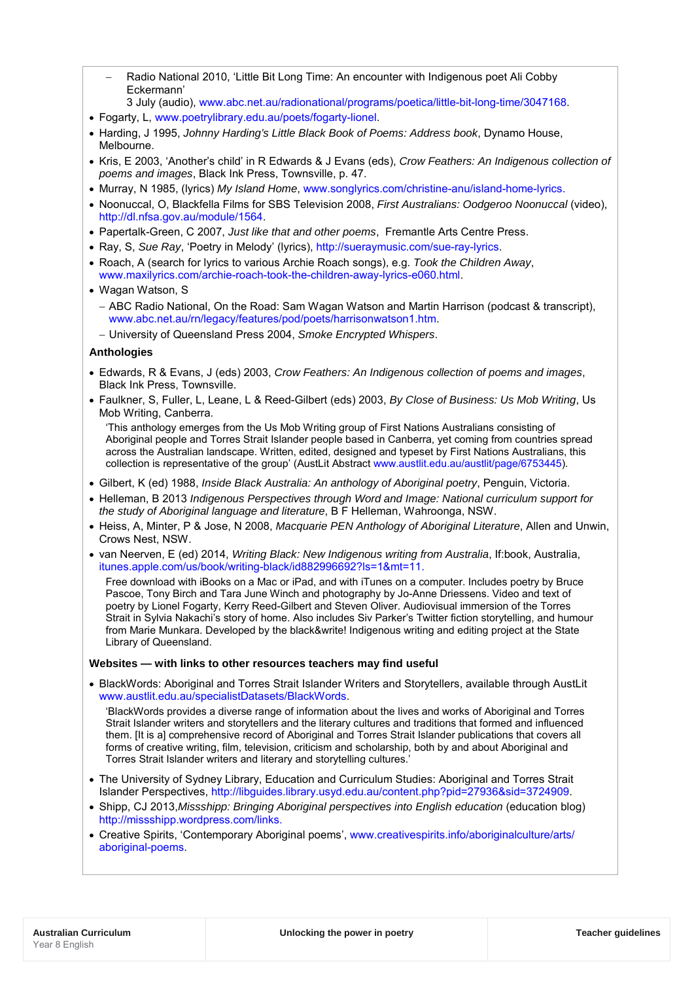- − Radio National 2010, 'Little Bit Long Time: An encounter with Indigenous poet Ali Cobby Eckermann'
- 3 July (audio), [www.abc.net.au/radionational/programs/poetica/little-bit-long-time/3047168.](http://www.abc.net.au/radionational/programs/poetica/little-bit-long-time/3047168)
- Fogarty, L, [www.poetrylibrary.edu.au/poets/fogarty-lionel.](http://www.poetrylibrary.edu.au/poets/fogarty-lionel)
- Harding, J 1995, *Johnny Harding's Little Black Book of Poems: Address book*, Dynamo House, Melbourne.
- Kris, E 2003, 'Another's child' in R Edwards & J Evans (eds), *Crow Feathers: An Indigenous collection of poems and images*, Black Ink Press, Townsville, p. 47.
- Murray, N 1985, (lyrics) *My Island Home*, [www.songlyrics.com/christine-anu/island-home-lyrics.](http://www.songlyrics.com/christine-anu/island-home-lyrics/)
- Noonuccal, O, Blackfella Films for SBS Television 2008, *First Australians: Oodgeroo Noonuccal* (video), [http://dl.nfsa.gov.au/module/1564.](http://dl.nfsa.gov.au/module/1564/)
- Papertalk-Green, C 2007, *Just like that and other poems*, Fremantle Arts Centre Press.
- Ray, S, *Sue Ray*, 'Poetry in Melody' (lyrics), [http://sueraymusic.com/sue-ray-lyrics.](http://sueraymusic.com/sue-ray-lyrics/)
- Roach, A (search for lyrics to various Archie Roach songs), e.g. *Took the Children Away*, [www.maxilyrics.com/archie-roach-took-the-children-away-lyrics-e060.html.](http://www.maxilyrics.com/archie-roach-took-the-children-away-lyrics-e060.html)
- Wagan Watson, S
	- − ABC Radio National, On the Road: Sam Wagan Watson and Martin Harrison (podcast & transcript), [www.abc.net.au/rn/legacy/features/pod/poets/harrisonwatson1.htm.](http://www.abc.net.au/rn/legacy/features/pod/poets/harrisonwatson1.htm)
	- − University of Queensland Press 2004, *Smoke Encrypted Whispers*.

### **Anthologies**

- Edwards, R & Evans, J (eds) 2003, *Crow Feathers: An Indigenous collection of poems and images*, Black Ink Press, Townsville.
- Faulkner, S, Fuller, L, Leane, L & Reed-Gilbert (eds) 2003, *By Close of Business: Us Mob Writing*, Us Mob Writing, Canberra.

'This anthology emerges from the Us Mob Writing group of First Nations Australians consisting of Aboriginal people and Torres Strait Islander people based in Canberra, yet coming from countries spread across the Australian landscape. Written, edited, designed and typeset by First Nations Australians, this collection is representative of the group' (AustLit Abstrac[t www.austlit.edu.au/austlit/page/6753445\)](http://www.austlit.edu.au/austlit/page/6753445).

- Gilbert, K (ed) 1988, *Inside Black Australia: An anthology of Aboriginal poetry*, Penguin, Victoria.
- Helleman, B 2013 *Indigenous Perspectives through Word and Image: National curriculum support for the study of Aboriginal language and literature*, B F Helleman, Wahroonga, NSW.
- Heiss, A, Minter, P & Jose, N 2008, *Macquarie PEN Anthology of Aboriginal Literature*, Allen and Unwin, Crows Nest, NSW.
- van Neerven, E (ed) 2014, *Writing Black: New Indigenous writing from Australia*, If:book, Australia, [itunes.apple.com/us/book/writing-black/id882996692?ls=1&mt=11.](https://itunes.apple.com/us/book/writing-black/id882996692?ls=1&mt=11)

Free download with iBooks on a Mac or iPad, and with iTunes on a computer. Includes poetry by Bruce Pascoe, Tony Birch and Tara June Winch and photography by Jo-Anne Driessens. Video and text of poetry by Lionel Fogarty, Kerry Reed-Gilbert and Steven Oliver. Audiovisual immersion of the Torres Strait in Sylvia Nakachi's story of home. Also includes Siv Parker's Twitter fiction storytelling, and humour from Marie Munkara. Developed by the black&write! Indigenous writing and editing project at the State Library of Queensland.

### **Websites — with links to other resources teachers may find useful**

• BlackWords: Aboriginal and Torres Strait Islander Writers and Storytellers, available through AustLit [www.austlit.edu.au/specialistDatasets/BlackWords.](http://www.austlit.edu.au/specialistDatasets/BlackWords)

'BlackWords provides a diverse range of information about the lives and works of Aboriginal and Torres Strait Islander writers and storytellers and the literary cultures and traditions that formed and influenced them. [It is a] comprehensive record of Aboriginal and Torres Strait Islander publications that covers all forms of creative writing, film, television, criticism and scholarship, both by and about Aboriginal and Torres Strait Islander writers and literary and storytelling cultures.'

- The University of Sydney Library, Education and Curriculum Studies: Aboriginal and Torres Strait Islander Perspectives, [http://libguides.library.usyd.edu.au/content.php?pid=27936&sid=3724909.](http://libguides.library.usyd.edu.au/content.php?pid=27936&sid=3724909)
- Shipp, CJ 2013,*Missshipp: Bringing Aboriginal perspectives into English education* (education blog) [http://missshipp.wordpress.com/links.](http://missshipp.wordpress.com/links/)
- Creative Spirits, 'Contemporary Aboriginal poems', [www.creativespirits.info/aboriginalculture/arts/](http://www.creativespirits.info/aboriginalculture/arts/%0baboriginal-poems/) [aboriginal-poems.](http://www.creativespirits.info/aboriginalculture/arts/%0baboriginal-poems/)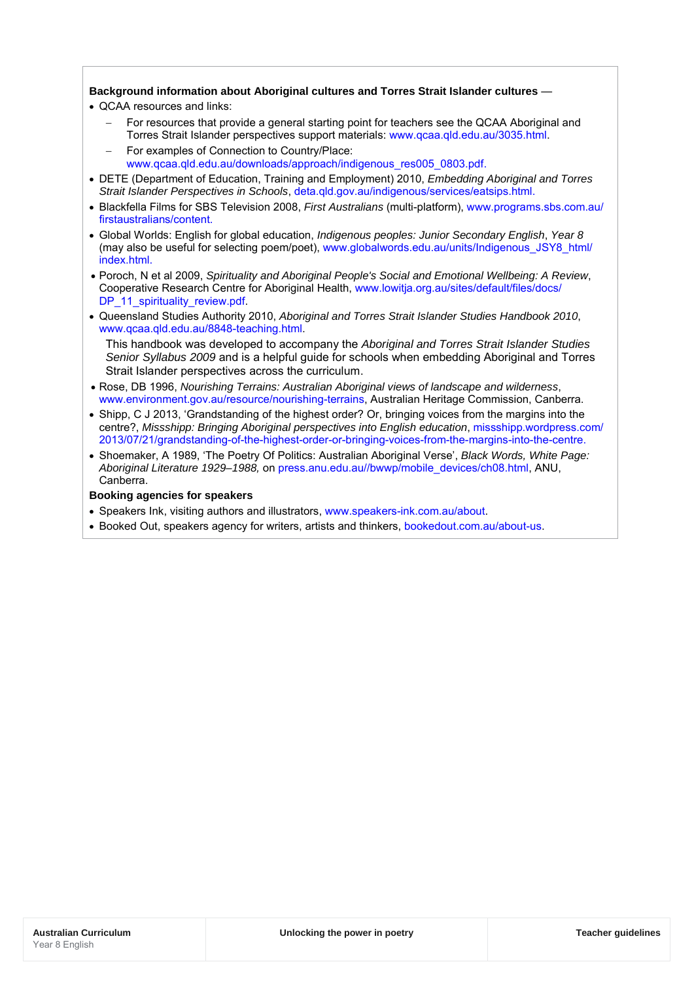## **Background information about Aboriginal cultures and Torres Strait Islander cultures** —

- QCAA resources and links:
	- For resources that provide a general starting point for teachers see the QCAA Aboriginal and Torres Strait Islander perspectives support materials: [www.qcaa.qld.edu.au/3035.html.](http://www.qcaa.qld.edu.au/3035.html)
	- − For examples of Connection to Country/Place: [www.qcaa.qld.edu.au/downloads/approach/indigenous\\_res005\\_0803.pdf.](http://www.qcaa.qld.edu.au/downloads/approach/indigenous_res005_0803.pdf)
- DETE (Department of Education, Training and Employment) 2010, *Embedding Aboriginal and Torres Strait Islander Perspectives in Schools*, [deta.qld.gov.au/indigenous/services/eatsips.html.](http://deta.qld.gov.au/indigenous/services/eatsips.html)
- Blackfella Films for SBS Television 2008, *First Australians* (multi-platform), [www.programs.sbs.com.au/](http://www.programs.sbs.com.au/firstaustralians/content.) [firstaustralians/content.](http://www.programs.sbs.com.au/firstaustralians/content.)
- Global Worlds: English for global education, *Indigenous peoples: Junior Secondary English*, *Year 8*  (may also be useful for selecting poem/poet), [www.globalwords.edu.au/units/Indigenous\\_JSY8\\_html/](http://www.globalwords.edu.au/units/Indigenous_JSY8_html/index.html) index html
- Poroch, N et al 2009, *Spirituality and Aboriginal People's Social and Emotional Wellbeing: A Review*, Cooperative Research Centre for Aboriginal Health, [www.lowitja.org.au/sites/default/files/docs/](http://www.lowitja.org.au/sites/default/files/docs/DP_11_spirituality_review.pdf) [DP\\_11\\_spirituality\\_review.pdf.](http://www.lowitja.org.au/sites/default/files/docs/DP_11_spirituality_review.pdf)
- Queensland Studies Authority 2010, *Aboriginal and Torres Strait Islander Studies Handbook 2010*, [www.qcaa.qld.edu.au/8848-teaching.html.](http://www.qcaa.qld.edu.au/8848-teaching.html)

This handbook was developed to accompany the *Aboriginal and Torres Strait Islander Studies Senior Syllabus 2009* and is a helpful guide for schools when embedding Aboriginal and Torres Strait Islander perspectives across the curriculum.

- Rose, DB 1996, *Nourishing Terrains: Australian Aboriginal views of landscape and wilderness*, [www.environment.gov.au/resource/nourishing-terrains,](http://www.environment.gov.au/resource/nourishing-terrains) Australian Heritage Commission, Canberra.
- Shipp, C J 2013, 'Grandstanding of the highest order? Or, bringing voices from the margins into the centre?, *Missshipp: Bringing Aboriginal perspectives into English education*, [missshipp.wordpress.com/](http://missshipp.wordpress.com/2013/07/21/grandstanding-of-the-highest-order-or-bringing-voices-from-the-margins-into-the-centre/) [2013/07/21/grandstanding-of-the-highest-order-or-bringing-voices-from-the-margins-into-the-centre.](http://missshipp.wordpress.com/2013/07/21/grandstanding-of-the-highest-order-or-bringing-voices-from-the-margins-into-the-centre/)
- Shoemaker, A 1989, 'The Poetry Of Politics: Australian Aboriginal Verse', *Black Words, White Page: Aboriginal Literature 1929–1988,* on [press.anu.edu.au//bwwp/mobile\\_devices/ch08.html,](http://press.anu.edu.au/bwwp/mobile_devices/ch08.html) ANU, Canberra.

### **Booking agencies for speakers**

- Speakers Ink, visiting authors and illustrators, [www.speakers-ink.com.au/about.](http://www.speakers-ink.com.au/about)
- Booked Out, speakers agency for writers, artists and thinkers, [bookedout.com.au/about-us.](http://bookedout.com.au/about-us)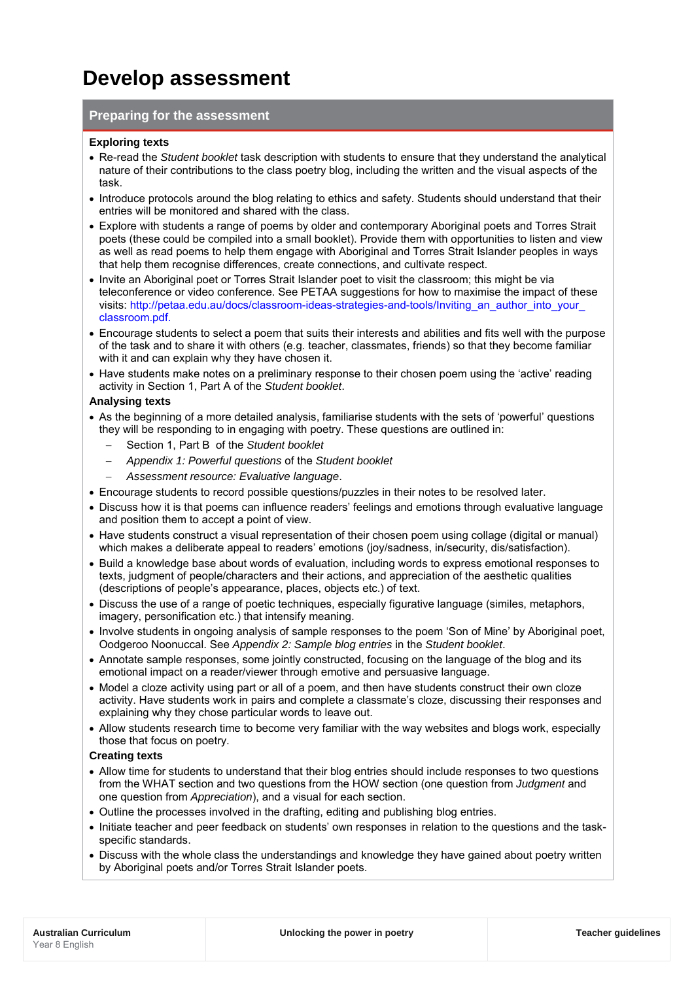## **Develop assessment**

## **Preparing for the assessment**

#### **Exploring texts**

- Re-read the *Student booklet* task description with students to ensure that they understand the analytical nature of their contributions to the class poetry blog, including the written and the visual aspects of the task.
- Introduce protocols around the blog relating to ethics and safety. Students should understand that their entries will be monitored and shared with the class.
- Explore with students a range of poems by older and contemporary Aboriginal poets and Torres Strait poets (these could be compiled into a small booklet). Provide them with opportunities to listen and view as well as read poems to help them engage with Aboriginal and Torres Strait Islander peoples in ways that help them recognise differences, create connections, and cultivate respect.
- Invite an Aboriginal poet or Torres Strait Islander poet to visit the classroom; this might be via teleconference or video conference. See PETAA suggestions for how to maximise the impact of these visits: [http://petaa.edu.au/docs/classroom-ideas-strategies-and-tools/Inviting\\_an\\_author\\_into\\_your\\_](http://petaa.edu.au/docs/classroom-ideas-strategies-and-tools/Inviting_an_author_into_your_classroom.pdf) [classroom.pdf.](http://petaa.edu.au/docs/classroom-ideas-strategies-and-tools/Inviting_an_author_into_your_classroom.pdf)
- Encourage students to select a poem that suits their interests and abilities and fits well with the purpose of the task and to share it with others (e.g. teacher, classmates, friends) so that they become familiar with it and can explain why they have chosen it.
- Have students make notes on a preliminary response to their chosen poem using the 'active' reading activity in Section 1, Part A of the *Student booklet*.

### **Analysing texts**

- As the beginning of a more detailed analysis, familiarise students with the sets of 'powerful' questions they will be responding to in engaging with poetry. These questions are outlined in:
	- − Section 1, Part B of the *Student booklet*
	- − *Appendix 1: Powerful questions* of the *Student booklet*
	- − *Assessment resource: Evaluative language*.
- Encourage students to record possible questions/puzzles in their notes to be resolved later.
- Discuss how it is that poems can influence readers' feelings and emotions through evaluative language and position them to accept a point of view.
- Have students construct a visual representation of their chosen poem using collage (digital or manual) which makes a deliberate appeal to readers' emotions (joy/sadness, in/security, dis/satisfaction).
- Build a knowledge base about words of evaluation, including words to express emotional responses to texts, judgment of people/characters and their actions, and appreciation of the aesthetic qualities (descriptions of people's appearance, places, objects etc.) of text.
- Discuss the use of a range of poetic techniques, especially figurative language (similes, metaphors, imagery, personification etc.) that intensify meaning.
- Involve students in ongoing analysis of sample responses to the poem 'Son of Mine' by Aboriginal poet, Oodgeroo Noonuccal. See *Appendix 2: Sample blog entries* in the *Student booklet*.
- Annotate sample responses, some jointly constructed, focusing on the language of the blog and its emotional impact on a reader/viewer through emotive and persuasive language.
- Model a cloze activity using part or all of a poem, and then have students construct their own cloze activity. Have students work in pairs and complete a classmate's cloze, discussing their responses and explaining why they chose particular words to leave out.
- Allow students research time to become very familiar with the way websites and blogs work, especially those that focus on poetry.

#### **Creating texts**

- Allow time for students to understand that their blog entries should include responses to two questions from the WHAT section and two questions from the HOW section (one question from *Judgment* and one question from *Appreciation*), and a visual for each section.
- Outline the processes involved in the drafting, editing and publishing blog entries.
- Initiate teacher and peer feedback on students' own responses in relation to the questions and the taskspecific standards.
- Discuss with the whole class the understandings and knowledge they have gained about poetry written by Aboriginal poets and/or Torres Strait Islander poets.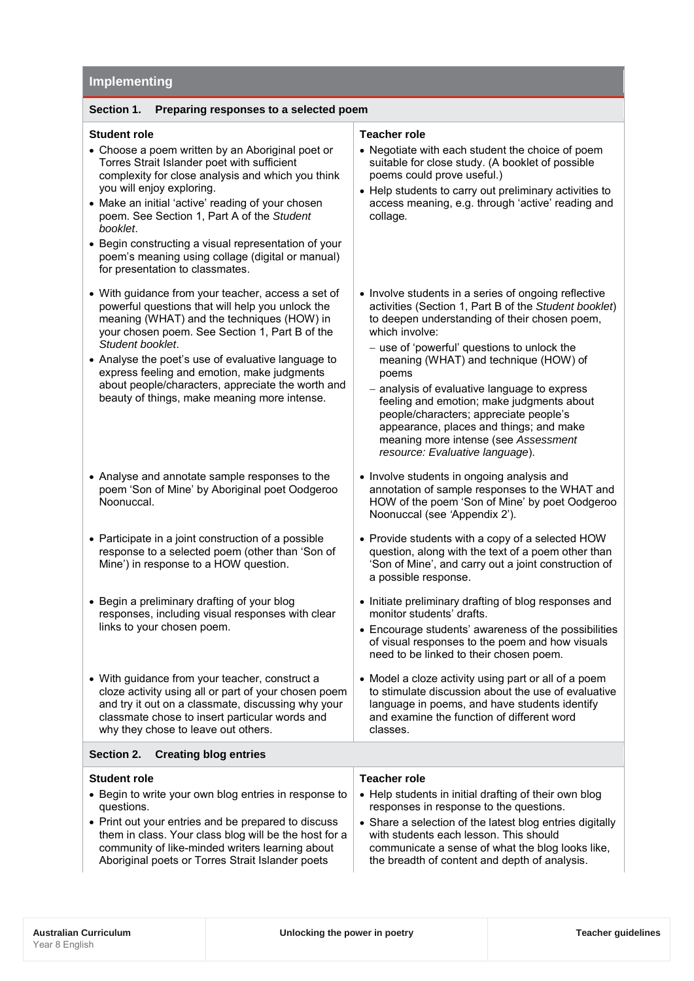## **Implementing Section 1. Preparing responses to a selected poem Student role** • Choose a poem written by an Aboriginal poet or Torres Strait Islander poet with sufficient complexity for close analysis and which you think you will enjoy exploring. • Make an initial 'active' reading of your chosen poem. See Section 1, Part A of the *Student booklet*. • Begin constructing a visual representation of your poem's meaning using collage (digital or manual) for presentation to classmates. **Teacher role** poems could prove useful.) collage*.* • With guidance from your teacher, access a set of powerful questions that will help you unlock the meaning (WHAT) and the techniques (HOW) in your chosen poem. See Section 1, Part B of the *Student booklet*. • Analyse the poet's use of evaluative language to express feeling and emotion, make judgments about people/characters, appreciate the worth and beauty of things, make meaning more intense. which involve: poems • Analyse and annotate sample responses to the poem 'Son of Mine' by Aboriginal poet Oodgeroo Noonuccal. • Participate in a joint construction of a possible response to a selected poem (other than 'Son of Mine') in response to a HOW question.

• Begin a preliminary drafting of your blog responses, including visual responses with clear links to your chosen poem.

• With guidance from your teacher, construct a cloze activity using all or part of your chosen poem and try it out on a classmate, discussing why your classmate chose to insert particular words and why they chose to leave out others.

### **Section 2. Creating blog entries**

### **Student role**

- Begin to write your own blog entries in response to questions.
- Print out your entries and be prepared to discuss them in class. Your class blog will be the host for a community of like-minded writers learning about Aboriginal poets or Torres Strait Islander poets
- Negotiate with each student the choice of poem suitable for close study. (A booklet of possible
- Help students to carry out preliminary activities to access meaning, e.g. through 'active' reading and
- Involve students in a series of ongoing reflective activities (Section 1, Part B of the *Student booklet*) to deepen understanding of their chosen poem,
	- − use of 'powerful' questions to unlock the meaning (WHAT) and technique (HOW) of
	- − analysis of evaluative language to express feeling and emotion; make judgments about people/characters; appreciate people's appearance, places and things; and make meaning more intense (see *Assessment resource: Evaluative language*).
- Involve students in ongoing analysis and annotation of sample responses to the WHAT and HOW of the poem 'Son of Mine' by poet Oodgeroo Noonuccal (see *'*Appendix 2').
- Provide students with a copy of a selected HOW question, along with the text of a poem other than 'Son of Mine', and carry out a joint construction of a possible response.
- Initiate preliminary drafting of blog responses and monitor students' drafts.
- Encourage students' awareness of the possibilities of visual responses to the poem and how visuals need to be linked to their chosen poem.
- Model a cloze activity using part or all of a poem to stimulate discussion about the use of evaluative language in poems, and have students identify and examine the function of different word classes.

#### **Teacher role**

- Help students in initial drafting of their own blog responses in response to the questions.
- Share a selection of the latest blog entries digitally with students each lesson. This should communicate a sense of what the blog looks like, the breadth of content and depth of analysis.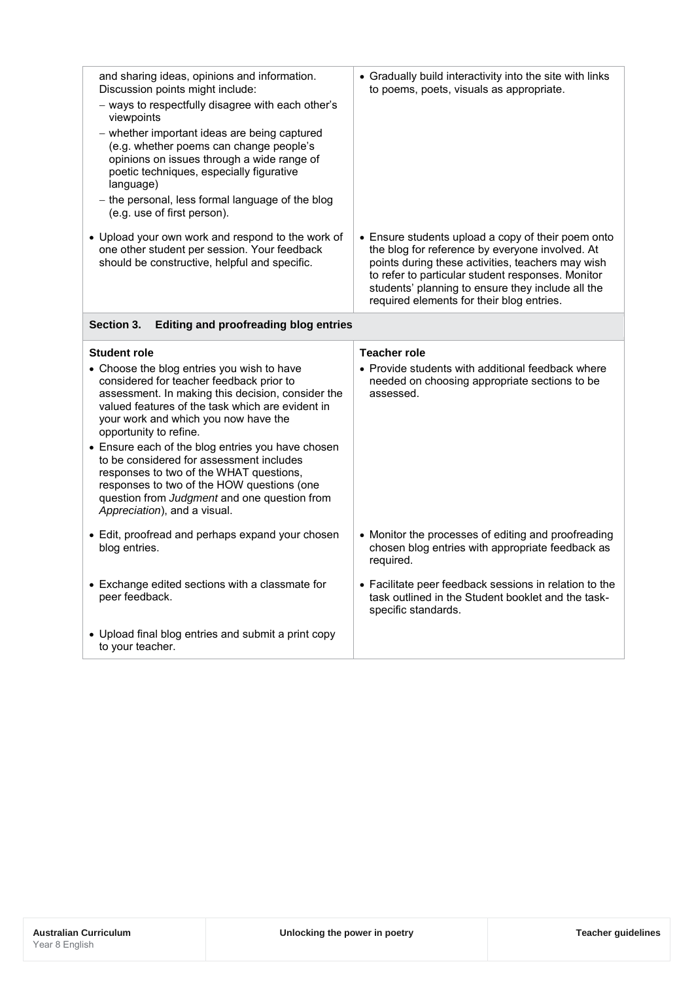| and sharing ideas, opinions and information.<br>Discussion points might include:<br>- ways to respectfully disagree with each other's<br>viewpoints<br>- whether important ideas are being captured<br>(e.g. whether poems can change people's<br>opinions on issues through a wide range of<br>poetic techniques, especially figurative<br>language)<br>- the personal, less formal language of the blog<br>(e.g. use of first person). | • Gradually build interactivity into the site with links<br>to poems, poets, visuals as appropriate.                                                                                                                                                                                                              |
|------------------------------------------------------------------------------------------------------------------------------------------------------------------------------------------------------------------------------------------------------------------------------------------------------------------------------------------------------------------------------------------------------------------------------------------|-------------------------------------------------------------------------------------------------------------------------------------------------------------------------------------------------------------------------------------------------------------------------------------------------------------------|
| • Upload your own work and respond to the work of<br>one other student per session. Your feedback<br>should be constructive, helpful and specific.                                                                                                                                                                                                                                                                                       | • Ensure students upload a copy of their poem onto<br>the blog for reference by everyone involved. At<br>points during these activities, teachers may wish<br>to refer to particular student responses. Monitor<br>students' planning to ensure they include all the<br>required elements for their blog entries. |
| Section 3.<br><b>Editing and proofreading blog entries</b>                                                                                                                                                                                                                                                                                                                                                                               |                                                                                                                                                                                                                                                                                                                   |
| <b>Student role</b>                                                                                                                                                                                                                                                                                                                                                                                                                      | <b>Teacher role</b>                                                                                                                                                                                                                                                                                               |
| • Choose the blog entries you wish to have<br>considered for teacher feedback prior to<br>assessment. In making this decision, consider the<br>valued features of the task which are evident in<br>your work and which you now have the<br>opportunity to refine.                                                                                                                                                                        | • Provide students with additional feedback where<br>needed on choosing appropriate sections to be<br>assessed.                                                                                                                                                                                                   |
| • Ensure each of the blog entries you have chosen<br>to be considered for assessment includes<br>responses to two of the WHAT questions,<br>responses to two of the HOW questions (one<br>question from Judgment and one question from<br>Appreciation), and a visual.                                                                                                                                                                   |                                                                                                                                                                                                                                                                                                                   |
| • Edit, proofread and perhaps expand your chosen<br>blog entries.                                                                                                                                                                                                                                                                                                                                                                        | • Monitor the processes of editing and proofreading<br>chosen blog entries with appropriate feedback as<br>required.                                                                                                                                                                                              |
| • Exchange edited sections with a classmate for<br>peer feedback.                                                                                                                                                                                                                                                                                                                                                                        | • Facilitate peer feedback sessions in relation to the<br>task outlined in the Student booklet and the task-<br>specific standards.                                                                                                                                                                               |
| • Upload final blog entries and submit a print copy                                                                                                                                                                                                                                                                                                                                                                                      |                                                                                                                                                                                                                                                                                                                   |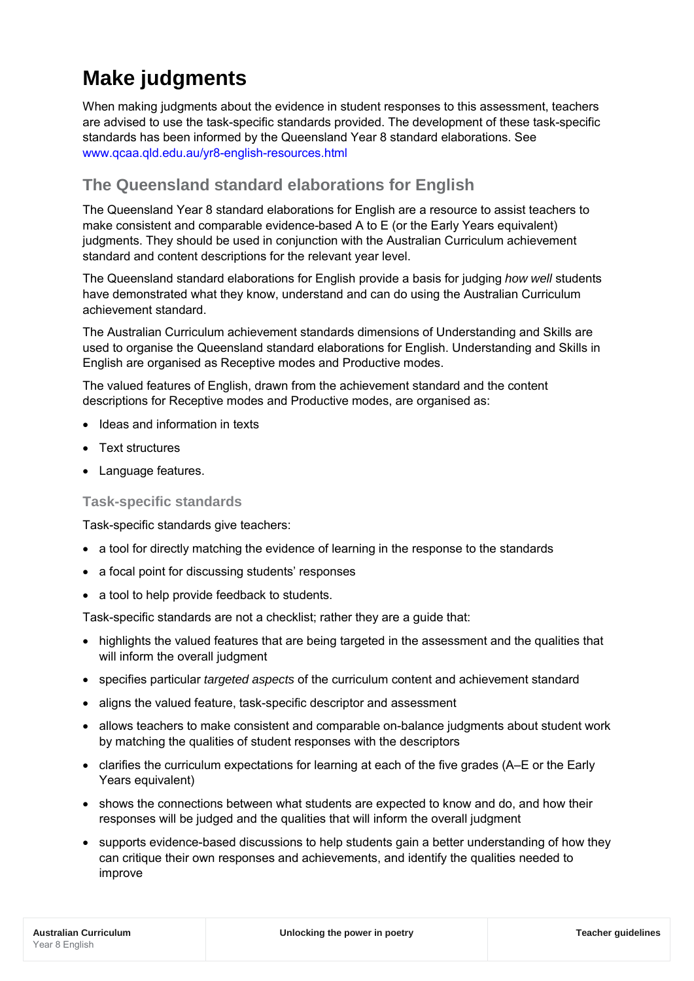# **Make judgments**

When making judgments about the evidence in student responses to this assessment, teachers are advised to use the task-specific standards provided. The development of these task-specific standards has been informed by the Queensland Year 8 standard elaborations. See [www.qcaa.qld.edu.au/yr8-english-resources.html](http://www.qcaa.qld.edu.au/yr8-english-resources.html)

## **The Queensland standard elaborations for English**

The Queensland Year 8 standard elaborations for English are a resource to assist teachers to make consistent and comparable evidence-based A to E (or the Early Years equivalent) judgments. They should be used in conjunction with the Australian Curriculum achievement standard and content descriptions for the relevant year level.

The Queensland standard elaborations for English provide a basis for judging *how well* students have demonstrated what they know, understand and can do using the Australian Curriculum achievement standard.

The Australian Curriculum achievement standards dimensions of Understanding and Skills are used to organise the Queensland standard elaborations for English. Understanding and Skills in English are organised as Receptive modes and Productive modes.

The valued features of English, drawn from the achievement standard and the content descriptions for Receptive modes and Productive modes, are organised as:

- Ideas and information in texts
- Text structures
- Language features.

## **Task-specific standards**

Task-specific standards give teachers:

- a tool for directly matching the evidence of learning in the response to the standards
- a focal point for discussing students' responses
- a tool to help provide feedback to students.

Task-specific standards are not a checklist; rather they are a guide that:

- highlights the valued features that are being targeted in the assessment and the qualities that will inform the overall judgment
- specifies particular *targeted aspects* of the curriculum content and achievement standard
- aligns the valued feature, task-specific descriptor and assessment
- allows teachers to make consistent and comparable on-balance judgments about student work by matching the qualities of student responses with the descriptors
- clarifies the curriculum expectations for learning at each of the five grades (A–E or the Early Years equivalent)
- shows the connections between what students are expected to know and do, and how their responses will be judged and the qualities that will inform the overall judgment
- supports evidence-based discussions to help students gain a better understanding of how they can critique their own responses and achievements, and identify the qualities needed to improve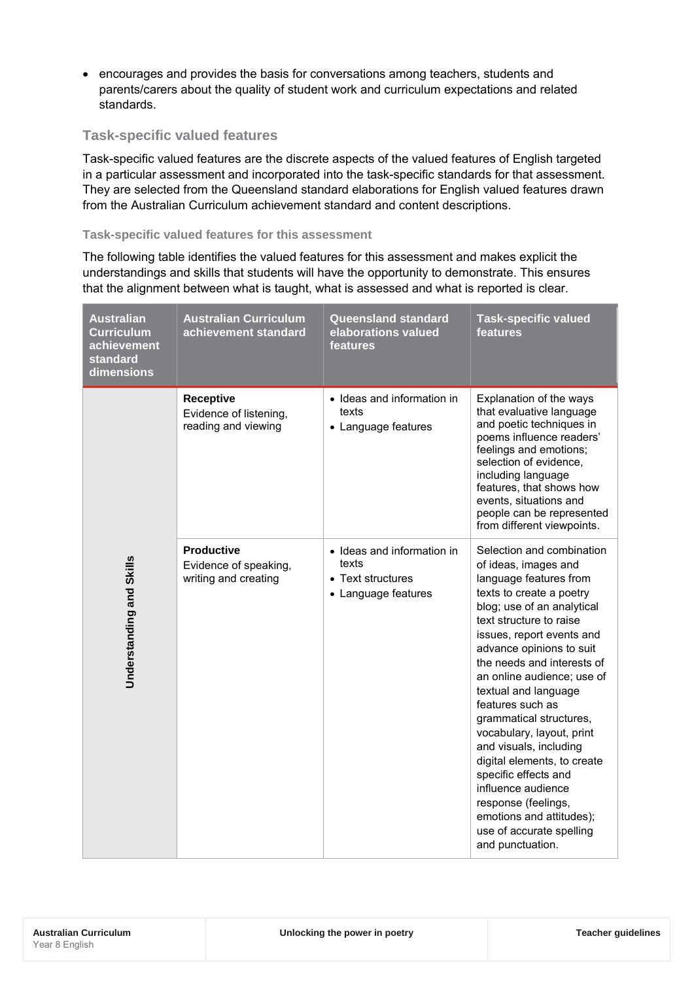• encourages and provides the basis for conversations among teachers, students and parents/carers about the quality of student work and curriculum expectations and related standards.

## **Task-specific valued features**

Task-specific valued features are the discrete aspects of the valued features of English targeted in a particular assessment and incorporated into the task-specific standards for that assessment. They are selected from the Queensland standard elaborations for English valued features drawn from the Australian Curriculum achievement standard and content descriptions.

## **Task-specific valued features for this assessment**

The following table identifies the valued features for this assessment and makes explicit the understandings and skills that students will have the opportunity to demonstrate. This ensures that the alignment between what is taught, what is assessed and what is reported is clear.

| <b>Australian</b><br><b>Curriculum</b><br>achievement<br>standard<br>dimensions | <b>Australian Curriculum</b><br>achievement standard               | <b>Queensland standard</b><br>elaborations valued<br>features                   | <b>Task-specific valued</b><br>features                                                                                                                                                                                                                                                                                                                                                                                                                                                                                                                                                             |
|---------------------------------------------------------------------------------|--------------------------------------------------------------------|---------------------------------------------------------------------------------|-----------------------------------------------------------------------------------------------------------------------------------------------------------------------------------------------------------------------------------------------------------------------------------------------------------------------------------------------------------------------------------------------------------------------------------------------------------------------------------------------------------------------------------------------------------------------------------------------------|
|                                                                                 | <b>Receptive</b><br>Evidence of listening,<br>reading and viewing  | • Ideas and information in<br>texts<br>• Language features                      | Explanation of the ways<br>that evaluative language<br>and poetic techniques in<br>poems influence readers'<br>feelings and emotions;<br>selection of evidence,<br>including language<br>features, that shows how<br>events, situations and<br>people can be represented<br>from different viewpoints.                                                                                                                                                                                                                                                                                              |
| Understanding and Skills                                                        | <b>Productive</b><br>Evidence of speaking,<br>writing and creating | • Ideas and information in<br>texts<br>• Text structures<br>• Language features | Selection and combination<br>of ideas, images and<br>language features from<br>texts to create a poetry<br>blog; use of an analytical<br>text structure to raise<br>issues, report events and<br>advance opinions to suit<br>the needs and interests of<br>an online audience; use of<br>textual and language<br>features such as<br>grammatical structures,<br>vocabulary, layout, print<br>and visuals, including<br>digital elements, to create<br>specific effects and<br>influence audience<br>response (feelings,<br>emotions and attitudes);<br>use of accurate spelling<br>and punctuation. |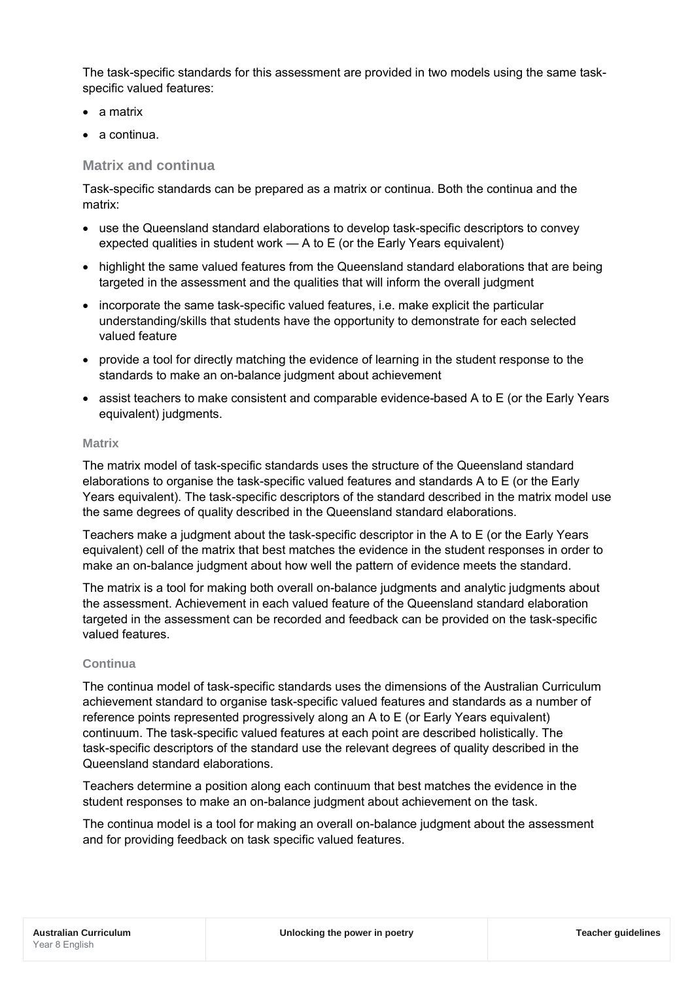The task-specific standards for this assessment are provided in two models using the same taskspecific valued features:

- a matrix
- a continua.

## **Matrix and continua**

Task-specific standards can be prepared as a matrix or continua. Both the continua and the matrix:

- use the Queensland standard elaborations to develop task-specific descriptors to convey expected qualities in student work — A to E (or the Early Years equivalent)
- highlight the same valued features from the Queensland standard elaborations that are being targeted in the assessment and the qualities that will inform the overall judgment
- incorporate the same task-specific valued features, i.e. make explicit the particular understanding/skills that students have the opportunity to demonstrate for each selected valued feature
- provide a tool for directly matching the evidence of learning in the student response to the standards to make an on-balance judgment about achievement
- assist teachers to make consistent and comparable evidence-based A to E (or the Early Years equivalent) judgments.

## **Matrix**

The matrix model of task-specific standards uses the structure of the Queensland standard elaborations to organise the task-specific valued features and standards A to E (or the Early Years equivalent). The task-specific descriptors of the standard described in the matrix model use the same degrees of quality described in the Queensland standard elaborations.

Teachers make a judgment about the task-specific descriptor in the A to E (or the Early Years equivalent) cell of the matrix that best matches the evidence in the student responses in order to make an on-balance judgment about how well the pattern of evidence meets the standard.

The matrix is a tool for making both overall on-balance judgments and analytic judgments about the assessment. Achievement in each valued feature of the Queensland standard elaboration targeted in the assessment can be recorded and feedback can be provided on the task-specific valued features.

## **Continua**

The continua model of task-specific standards uses the dimensions of the Australian Curriculum achievement standard to organise task-specific valued features and standards as a number of reference points represented progressively along an A to E (or Early Years equivalent) continuum. The task-specific valued features at each point are described holistically. The task-specific descriptors of the standard use the relevant degrees of quality described in the Queensland standard elaborations.

Teachers determine a position along each continuum that best matches the evidence in the student responses to make an on-balance judgment about achievement on the task.

The continua model is a tool for making an overall on-balance judgment about the assessment and for providing feedback on task specific valued features.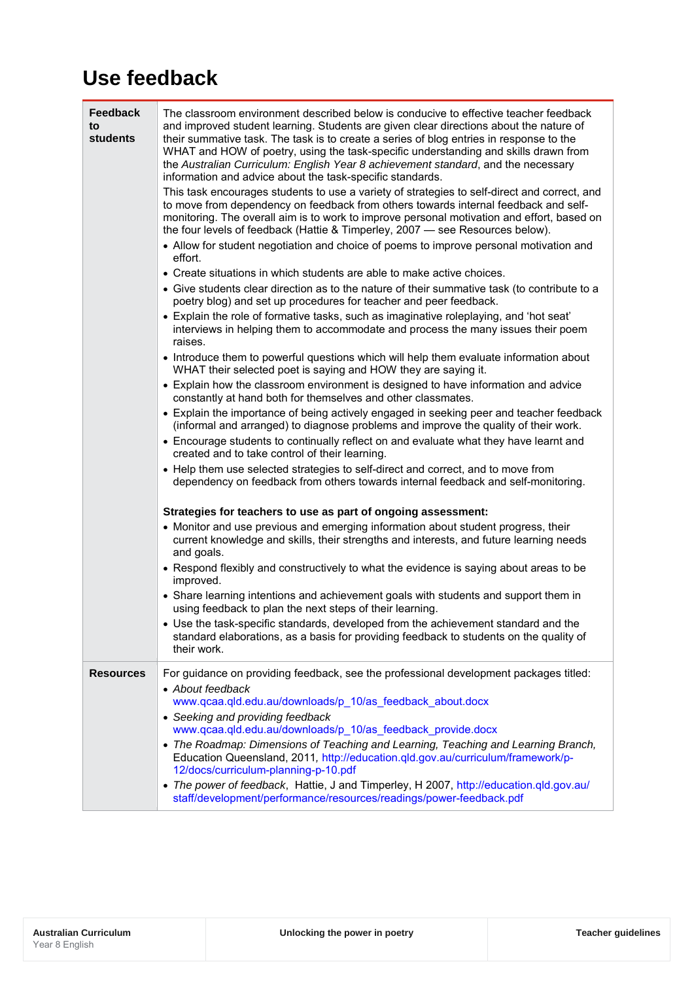## **Use feedback**

| <b>Feedback</b><br>to<br>students | The classroom environment described below is conducive to effective teacher feedback<br>and improved student learning. Students are given clear directions about the nature of<br>their summative task. The task is to create a series of blog entries in response to the<br>WHAT and HOW of poetry, using the task-specific understanding and skills drawn from<br>the Australian Curriculum: English Year 8 achievement standard, and the necessary<br>information and advice about the task-specific standards.<br>This task encourages students to use a variety of strategies to self-direct and correct, and<br>to move from dependency on feedback from others towards internal feedback and self-<br>monitoring. The overall aim is to work to improve personal motivation and effort, based on<br>the four levels of feedback (Hattie & Timperley, 2007 - see Resources below).<br>• Allow for student negotiation and choice of poems to improve personal motivation and<br>effort.<br>• Create situations in which students are able to make active choices.<br>• Give students clear direction as to the nature of their summative task (to contribute to a<br>poetry blog) and set up procedures for teacher and peer feedback.<br>• Explain the role of formative tasks, such as imaginative roleplaying, and 'hot seat'<br>interviews in helping them to accommodate and process the many issues their poem<br>raises.<br>• Introduce them to powerful questions which will help them evaluate information about<br>WHAT their selected poet is saying and HOW they are saying it.<br>• Explain how the classroom environment is designed to have information and advice<br>constantly at hand both for themselves and other classmates.<br>• Explain the importance of being actively engaged in seeking peer and teacher feedback<br>(informal and arranged) to diagnose problems and improve the quality of their work.<br>• Encourage students to continually reflect on and evaluate what they have learnt and<br>created and to take control of their learning.<br>• Help them use selected strategies to self-direct and correct, and to move from<br>dependency on feedback from others towards internal feedback and self-monitoring.<br>Strategies for teachers to use as part of ongoing assessment: |
|-----------------------------------|--------------------------------------------------------------------------------------------------------------------------------------------------------------------------------------------------------------------------------------------------------------------------------------------------------------------------------------------------------------------------------------------------------------------------------------------------------------------------------------------------------------------------------------------------------------------------------------------------------------------------------------------------------------------------------------------------------------------------------------------------------------------------------------------------------------------------------------------------------------------------------------------------------------------------------------------------------------------------------------------------------------------------------------------------------------------------------------------------------------------------------------------------------------------------------------------------------------------------------------------------------------------------------------------------------------------------------------------------------------------------------------------------------------------------------------------------------------------------------------------------------------------------------------------------------------------------------------------------------------------------------------------------------------------------------------------------------------------------------------------------------------------------------------------------------------------------------------------------------------------------------------------------------------------------------------------------------------------------------------------------------------------------------------------------------------------------------------------------------------------------------------------------------------------------------------------------------------------------------------------------------------------------------------------------------------------------------|
|                                   | • Monitor and use previous and emerging information about student progress, their<br>current knowledge and skills, their strengths and interests, and future learning needs<br>and goals.<br>• Respond flexibly and constructively to what the evidence is saying about areas to be<br>improved.<br>• Share learning intentions and achievement goals with students and support them in<br>using feedback to plan the next steps of their learning.                                                                                                                                                                                                                                                                                                                                                                                                                                                                                                                                                                                                                                                                                                                                                                                                                                                                                                                                                                                                                                                                                                                                                                                                                                                                                                                                                                                                                                                                                                                                                                                                                                                                                                                                                                                                                                                                            |
|                                   | • Use the task-specific standards, developed from the achievement standard and the<br>standard elaborations, as a basis for providing feedback to students on the quality of<br>their work.                                                                                                                                                                                                                                                                                                                                                                                                                                                                                                                                                                                                                                                                                                                                                                                                                                                                                                                                                                                                                                                                                                                                                                                                                                                                                                                                                                                                                                                                                                                                                                                                                                                                                                                                                                                                                                                                                                                                                                                                                                                                                                                                    |
| <b>Resources</b>                  | For guidance on providing feedback, see the professional development packages titled:<br>• About feedback<br>www.qcaa.qld.edu.au/downloads/p_10/as_feedback_about.docx<br>• Seeking and providing feedback<br>www.qcaa.qld.edu.au/downloads/p 10/as feedback provide.docx<br>• The Roadmap: Dimensions of Teaching and Learning, Teaching and Learning Branch,<br>Education Queensland, 2011, http://education.qld.gov.au/curriculum/framework/p-<br>12/docs/curriculum-planning-p-10.pdf<br>• The power of feedback, Hattie, J and Timperley, H 2007, http://education.qld.gov.au/<br>staff/development/performance/resources/readings/power-feedback.pdf                                                                                                                                                                                                                                                                                                                                                                                                                                                                                                                                                                                                                                                                                                                                                                                                                                                                                                                                                                                                                                                                                                                                                                                                                                                                                                                                                                                                                                                                                                                                                                                                                                                                     |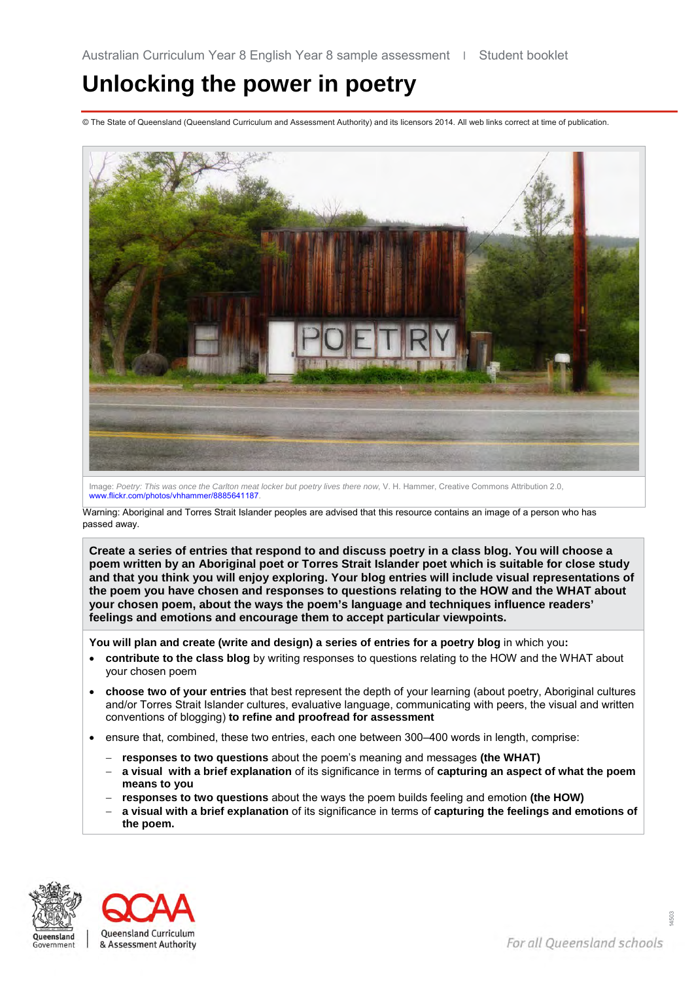# **Unlocking the power in poetry**

© The State of Queensland (Queensland Curriculum and Assessment Authority) and its licensors 2014. All web links correct at time of publication.



Image: *Poetry: This was once the Carlton meat locker but poetry lives there now*, V. H. Hammer, Creative Commons Attribution 2.0, [www.flickr.com/photos/vhhammer/8885641187.](http://www.flickr.com/photos/vhhammer/8885641187/)

Warning: Aboriginal and Torres Strait Islander peoples are advised that this resource contains an image of a person who has passed away.

**Create a series of entries that respond to and discuss poetry in a class blog. You will choose a poem written by an Aboriginal poet or Torres Strait Islander poet which is suitable for close study and that you think you will enjoy exploring. Your blog entries will include visual representations of the poem you have chosen and responses to questions relating to the HOW and the WHAT about your chosen poem, about the ways the poem's language and techniques influence readers' feelings and emotions and encourage them to accept particular viewpoints.**

**You will plan and create (write and design) a series of entries for a poetry blog** in which you**:** 

- **contribute to the class blog** by writing responses to questions relating to the HOW and the WHAT about your chosen poem
- **choose two of your entries** that best represent the depth of your learning (about poetry, Aboriginal cultures and/or Torres Strait Islander cultures, evaluative language, communicating with peers, the visual and written conventions of blogging) **to refine and proofread for assessment**
- ensure that, combined, these two entries, each one between 300–400 words in length, comprise:
	- − **responses to two questions** about the poem's meaning and messages **(the WHAT)**
	- − **a visual with a brief explanation** of its significance in terms of **capturing an aspect of what the poem means to you**
	- − **responses to two questions** about the ways the poem builds feeling and emotion **(the HOW)**
	- − **a visual with a brief explanation** of its significance in terms of **capturing the feelings and emotions of the poem.**



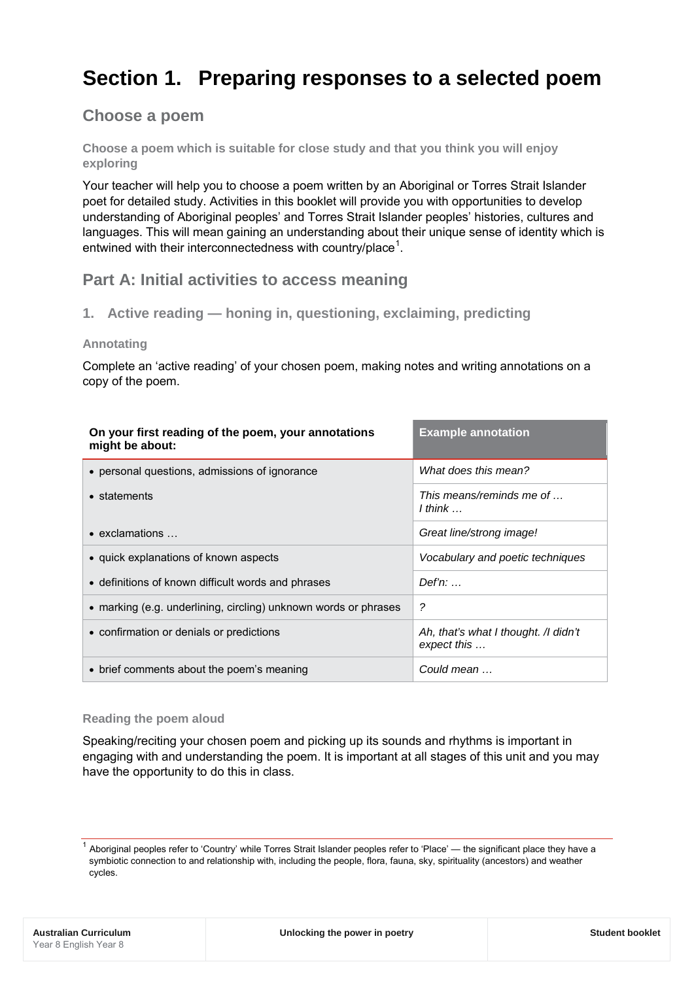## **Section 1. Preparing responses to a selected poem**

## **Choose a poem**

**Choose a poem which is suitable for close study and that you think you will enjoy exploring**

Your teacher will help you to choose a poem written by an Aboriginal or Torres Strait Islander poet for detailed study. Activities in this booklet will provide you with opportunities to develop understanding of Aboriginal peoples' and Torres Strait Islander peoples' histories, cultures and languages. This will mean gaining an understanding about their unique sense of identity which is entwined with their interconnectedness with country/place<sup>[1](#page-15-0)</sup>.

## **Part A: Initial activities to access meaning**

**1. Active reading — honing in, questioning, exclaiming, predicting** 

## **Annotating**

Complete an 'active reading' of your chosen poem, making notes and writing annotations on a copy of the poem.

| On your first reading of the poem, your annotations<br>might be about: | <b>Example annotation</b>                           |
|------------------------------------------------------------------------|-----------------------------------------------------|
| • personal questions, admissions of ignorance                          | What does this mean?                                |
| • statements                                                           | This means/reminds me of<br>I think $\ldots$        |
| $\bullet$ exclamations $\dots$                                         | Great line/strong image!                            |
| • quick explanations of known aspects                                  | Vocabulary and poetic techniques                    |
| • definitions of known difficult words and phrases                     | $Def'n: \dots$                                      |
| • marking (e.g. underlining, circling) unknown words or phrases        | ?                                                   |
| • confirmation or denials or predictions                               | Ah, that's what I thought. /I didn't<br>expect this |
| • brief comments about the poem's meaning                              | Could mean                                          |

### **Reading the poem aloud**

Speaking/reciting your chosen poem and picking up its sounds and rhythms is important in engaging with and understanding the poem. It is important at all stages of this unit and you may have the opportunity to do this in class.

<span id="page-15-0"></span> $1$  Aboriginal peoples refer to 'Country' while Torres Strait Islander peoples refer to 'Place' — the significant place they have a symbiotic connection to and relationship with, including the people, flora, fauna, sky, spirituality (ancestors) and weather cycles.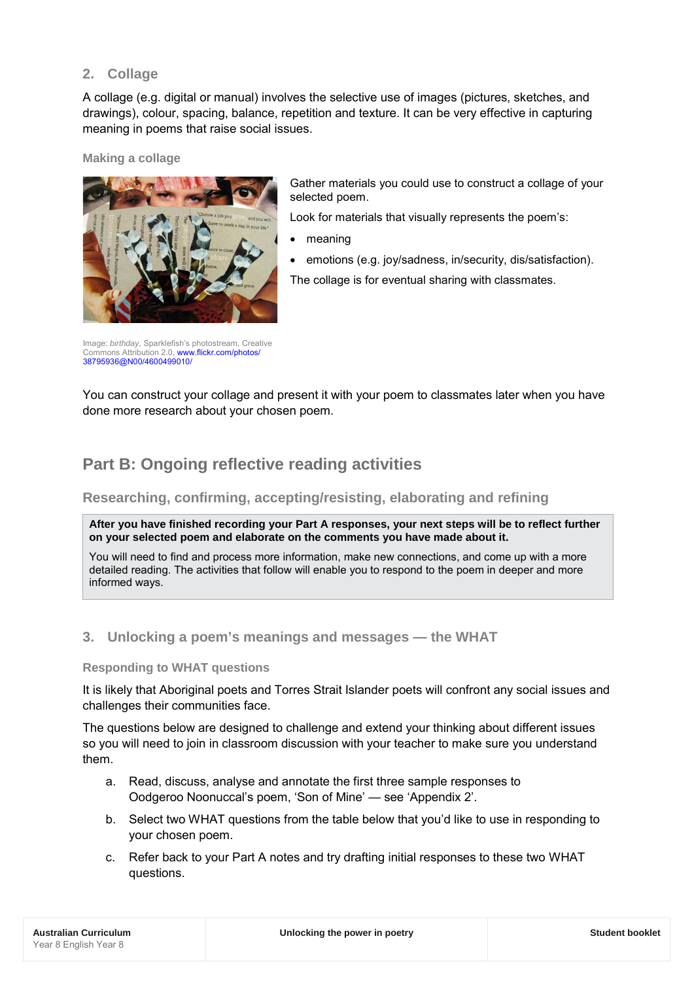## **2. Collage**

A collage (e.g. digital or manual) involves the selective use of images (pictures, sketches, and drawings), colour, spacing, balance, repetition and texture. It can be very effective in capturing meaning in poems that raise social issues.

## **Making a collage**



Gather materials you could use to construct a collage of your selected poem.

Look for materials that visually represents the poem's:

- meaning
- emotions (e.g. joy/sadness, in/security, dis/satisfaction). The collage is for eventual sharing with classmates.

Image: *birthday*, Sparklefish's photostream, Creative Commons Attribution 2.0[, www.flickr.com/photos/](http://www.flickr.com/photos/38795936@N00/4600499010/) [38795936@N00/4600499010/](http://www.flickr.com/photos/38795936@N00/4600499010/)

You can construct your collage and present it with your poem to classmates later when you have done more research about your chosen poem.

## **Part B: Ongoing reflective reading activities**

## **Researching, confirming, accepting/resisting, elaborating and refining**

**After you have finished recording your Part A responses, your next steps will be to reflect further on your selected poem and elaborate on the comments you have made about it.** 

You will need to find and process more information, make new connections, and come up with a more detailed reading. The activities that follow will enable you to respond to the poem in deeper and more informed ways.

## **3. Unlocking a poem's meanings and messages — the WHAT**

## **Responding to WHAT questions**

It is likely that Aboriginal poets and Torres Strait Islander poets will confront any social issues and challenges their communities face.

The questions below are designed to challenge and extend your thinking about different issues so you will need to join in classroom discussion with your teacher to make sure you understand them.

- a. Read, discuss, analyse and annotate the first three sample responses to Oodgeroo Noonuccal's poem, 'Son of Mine' — see 'Appendix 2'.
- b. Select two WHAT questions from the table below that you'd like to use in responding to your chosen poem.
- c. Refer back to your Part A notes and try drafting initial responses to these two WHAT questions.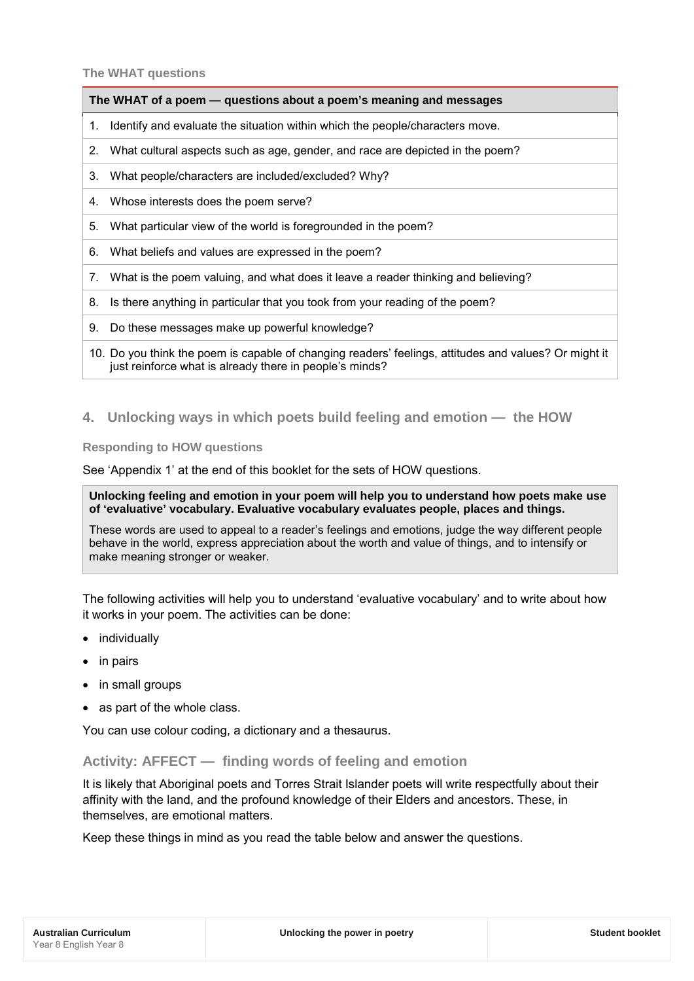### **The WHAT questions**

### **The WHAT of a poem — questions about a poem's meaning and messages**

- 1. Identify and evaluate the situation within which the people/characters move.
- 2. What cultural aspects such as age, gender, and race are depicted in the poem?
- 3. What people/characters are included/excluded? Why?
- 4. Whose interests does the poem serve?
- 5. What particular view of the world is foregrounded in the poem?
- 6. What beliefs and values are expressed in the poem?
- 7. What is the poem valuing, and what does it leave a reader thinking and believing?
- 8. Is there anything in particular that you took from your reading of the poem?
- 9. Do these messages make up powerful knowledge?
- 10. Do you think the poem is capable of changing readers' feelings, attitudes and values? Or might it just reinforce what is already there in people's minds?

## **4. Unlocking ways in which poets build feeling and emotion — the HOW**

**Responding to HOW questions**

See 'Appendix 1' at the end of this booklet for the sets of HOW questions.

### **Unlocking feeling and emotion in your poem will help you to understand how poets make use of 'evaluative' vocabulary. Evaluative vocabulary evaluates people, places and things.**

These words are used to appeal to a reader's feelings and emotions, judge the way different people behave in the world, express appreciation about the worth and value of things, and to intensify or make meaning stronger or weaker.

The following activities will help you to understand 'evaluative vocabulary' and to write about how it works in your poem. The activities can be done:

- individually
- in pairs
- in small groups
- as part of the whole class.

You can use colour coding, a dictionary and a thesaurus.

## **Activity: AFFECT — finding words of feeling and emotion**

It is likely that Aboriginal poets and Torres Strait Islander poets will write respectfully about their affinity with the land, and the profound knowledge of their Elders and ancestors. These, in themselves, are emotional matters.

Keep these things in mind as you read the table below and answer the questions.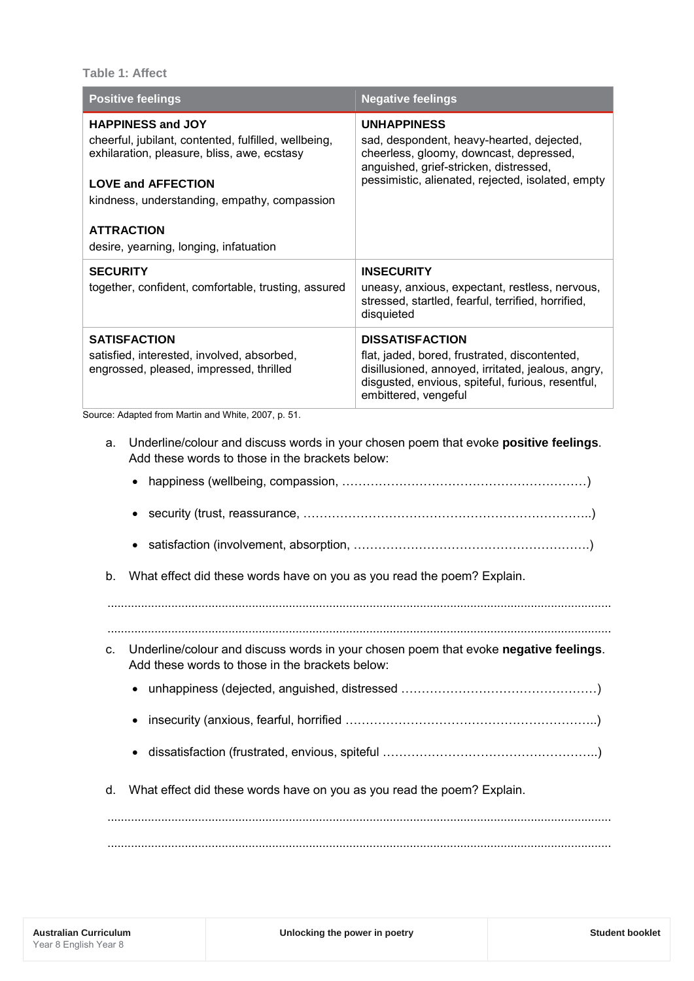**Table 1: Affect** 

| <b>Positive feelings</b>                                                                                                                                                                                                                                                    | <b>Negative feelings</b>                                                                                                                                                                                   |  |  |  |
|-----------------------------------------------------------------------------------------------------------------------------------------------------------------------------------------------------------------------------------------------------------------------------|------------------------------------------------------------------------------------------------------------------------------------------------------------------------------------------------------------|--|--|--|
| <b>HAPPINESS and JOY</b><br>cheerful, jubilant, contented, fulfilled, wellbeing,<br>exhilaration, pleasure, bliss, awe, ecstasy<br><b>LOVE and AFFECTION</b><br>kindness, understanding, empathy, compassion<br><b>ATTRACTION</b><br>desire, yearning, longing, infatuation | <b>UNHAPPINESS</b><br>sad, despondent, heavy-hearted, dejected,<br>cheerless, gloomy, downcast, depressed,<br>anguished, grief-stricken, distressed,<br>pessimistic, alienated, rejected, isolated, empty  |  |  |  |
| <b>SECURITY</b><br>together, confident, comfortable, trusting, assured                                                                                                                                                                                                      | <b>INSECURITY</b><br>uneasy, anxious, expectant, restless, nervous,<br>stressed, startled, fearful, terrified, horrified,<br>disquieted                                                                    |  |  |  |
| <b>SATISFACTION</b><br>satisfied, interested, involved, absorbed,<br>engrossed, pleased, impressed, thrilled                                                                                                                                                                | <b>DISSATISFACTION</b><br>flat, jaded, bored, frustrated, discontented,<br>disillusioned, annoyed, irritated, jealous, angry,<br>disgusted, envious, spiteful, furious, resentful,<br>embittered, vengeful |  |  |  |
| Source: Adapted from Martin and White, 2007, p. 51.<br>Underline/colour and discuss words in your chosen poem that evoke positive feelings.<br>a.<br>Add these words to those in the brackets below:<br>$\bullet$                                                           |                                                                                                                                                                                                            |  |  |  |
|                                                                                                                                                                                                                                                                             |                                                                                                                                                                                                            |  |  |  |

b. What effect did these words have on you as you read the poem? Explain.

...................................................................................................................................................... c. Underline/colour and discuss words in your chosen poem that evoke **negative feelings**. Add these words to those in the brackets below:

......................................................................................................................................................

- unhappiness (dejected, anguished, distressed …………………………………………)
- insecurity (anxious, fearful, horrified ……………………………………………………..)
- dissatisfaction (frustrated, envious, spiteful ……………………………………………..)
- d. What effect did these words have on you as you read the poem? Explain.

...................................................................................................................................................... ......................................................................................................................................................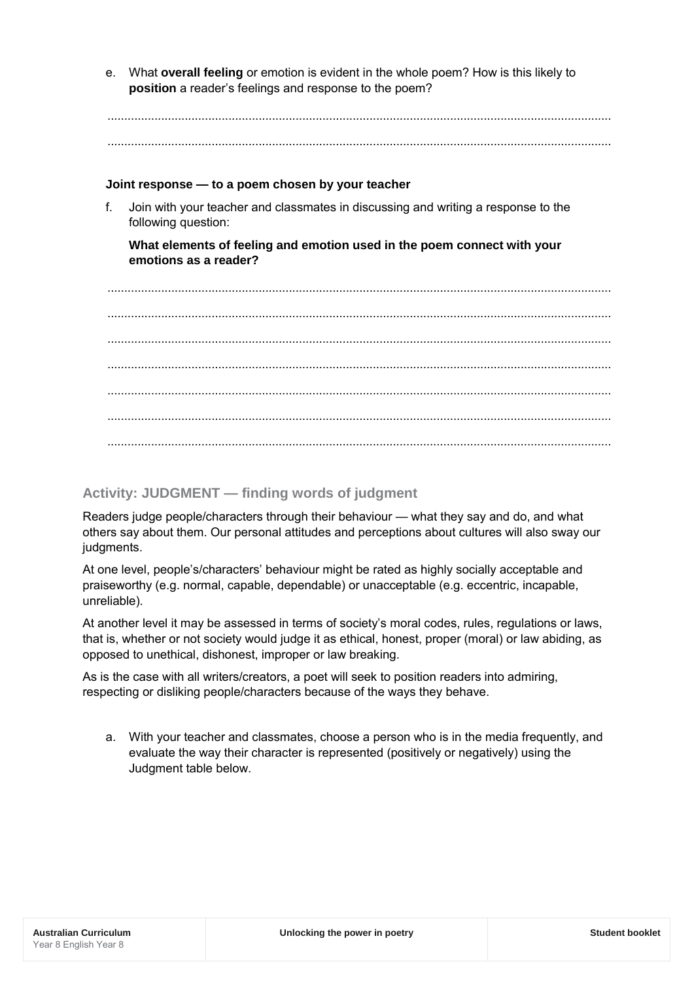e. What **overall feeling** or emotion is evident in the whole poem? How is this likely to **position** a reader's feelings and response to the poem?

...................................................................................................................................................... ......................................................................................................................................................

### **Joint response — to a poem chosen by your teacher**

f. Join with your teacher and classmates in discussing and writing a response to the following question:

**What elements of feeling and emotion used in the poem connect with your emotions as a reader?**

...................................................................................................................................................... ...................................................................................................................................................... ...................................................................................................................................................... ...................................................................................................................................................... ...................................................................................................................................................... ...................................................................................................................................................... ......................................................................................................................................................

## **Activity: JUDGMENT — finding words of judgment**

Readers judge people/characters through their behaviour — what they say and do, and what others say about them. Our personal attitudes and perceptions about cultures will also sway our judgments.

At one level, people's/characters' behaviour might be rated as highly socially acceptable and praiseworthy (e.g. normal, capable, dependable) or unacceptable (e.g. eccentric, incapable, unreliable).

At another level it may be assessed in terms of society's moral codes, rules, regulations or laws, that is, whether or not society would judge it as ethical, honest, proper (moral) or law abiding, as opposed to unethical, dishonest, improper or law breaking.

As is the case with all writers/creators, a poet will seek to position readers into admiring, respecting or disliking people/characters because of the ways they behave.

a. With your teacher and classmates, choose a person who is in the media frequently, and evaluate the way their character is represented (positively or negatively) using the Judgment table below.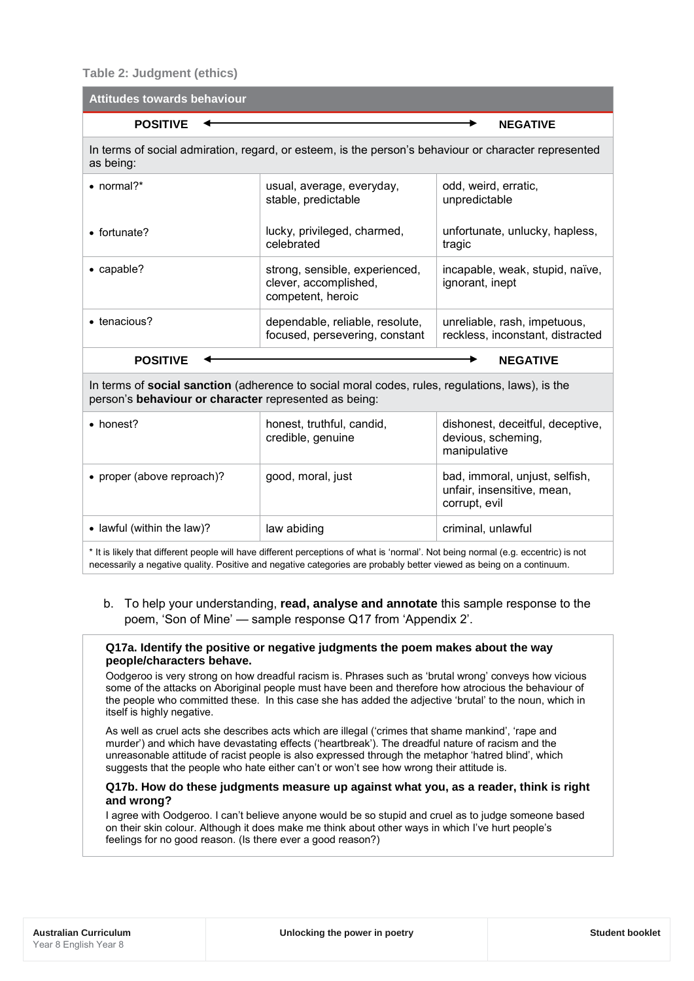**Table 2: Judgment (ethics)**

| <b>Attitudes towards behaviour</b>                                                                                                                       |                                                                                                      |                                                                               |  |  |  |  |
|----------------------------------------------------------------------------------------------------------------------------------------------------------|------------------------------------------------------------------------------------------------------|-------------------------------------------------------------------------------|--|--|--|--|
| <b>POSITIVE</b><br><b>NEGATIVE</b>                                                                                                                       |                                                                                                      |                                                                               |  |  |  |  |
| as being:                                                                                                                                                | In terms of social admiration, regard, or esteem, is the person's behaviour or character represented |                                                                               |  |  |  |  |
| • normal?*                                                                                                                                               | usual, average, everyday,<br>stable, predictable                                                     | odd, weird, erratic,<br>unpredictable                                         |  |  |  |  |
| • fortunate?                                                                                                                                             | lucky, privileged, charmed,<br>celebrated                                                            | unfortunate, unlucky, hapless,<br>tragic                                      |  |  |  |  |
| • capable?                                                                                                                                               | strong, sensible, experienced,<br>clever, accomplished,<br>competent, heroic                         | incapable, weak, stupid, naïve,<br>ignorant, inept                            |  |  |  |  |
| • tenacious?                                                                                                                                             | dependable, reliable, resolute,<br>focused, persevering, constant                                    | unreliable, rash, impetuous,<br>reckless, inconstant, distracted              |  |  |  |  |
| <b>POSITIVE</b><br><b>NEGATIVE</b>                                                                                                                       |                                                                                                      |                                                                               |  |  |  |  |
| In terms of social sanction (adherence to social moral codes, rules, regulations, laws), is the<br>person's behaviour or character represented as being: |                                                                                                      |                                                                               |  |  |  |  |
| • honest?                                                                                                                                                | honest, truthful, candid,<br>credible, genuine                                                       | dishonest, deceitful, deceptive,<br>devious, scheming,<br>manipulative        |  |  |  |  |
| • proper (above reproach)?                                                                                                                               | good, moral, just                                                                                    | bad, immoral, unjust, selfish,<br>unfair, insensitive, mean,<br>corrupt, evil |  |  |  |  |
| • lawful (within the law)?                                                                                                                               | law abiding                                                                                          | criminal, unlawful                                                            |  |  |  |  |

\* It is likely that different people will have different perceptions of what is 'normal'. Not being normal (e.g. eccentric) is not necessarily a negative quality. Positive and negative categories are probably better viewed as being on a continuum.

## b. To help your understanding, **read, analyse and annotate** this sample response to the poem, 'Son of Mine' — sample response Q17 from 'Appendix 2'.

#### **Q17a. Identify the positive or negative judgments the poem makes about the way people/characters behave.**

Oodgeroo is very strong on how dreadful racism is. Phrases such as 'brutal wrong' conveys how vicious some of the attacks on Aboriginal people must have been and therefore how atrocious the behaviour of the people who committed these. In this case she has added the adjective 'brutal' to the noun, which in itself is highly negative.

As well as cruel acts she describes acts which are illegal ('crimes that shame mankind', 'rape and murder') and which have devastating effects ('heartbreak'). The dreadful nature of racism and the unreasonable attitude of racist people is also expressed through the metaphor 'hatred blind', which suggests that the people who hate either can't or won't see how wrong their attitude is.

### **Q17b. How do these judgments measure up against what you, as a reader, think is right and wrong?**

I agree with Oodgeroo. I can't believe anyone would be so stupid and cruel as to judge someone based on their skin colour. Although it does make me think about other ways in which I've hurt people's feelings for no good reason. (Is there ever a good reason?)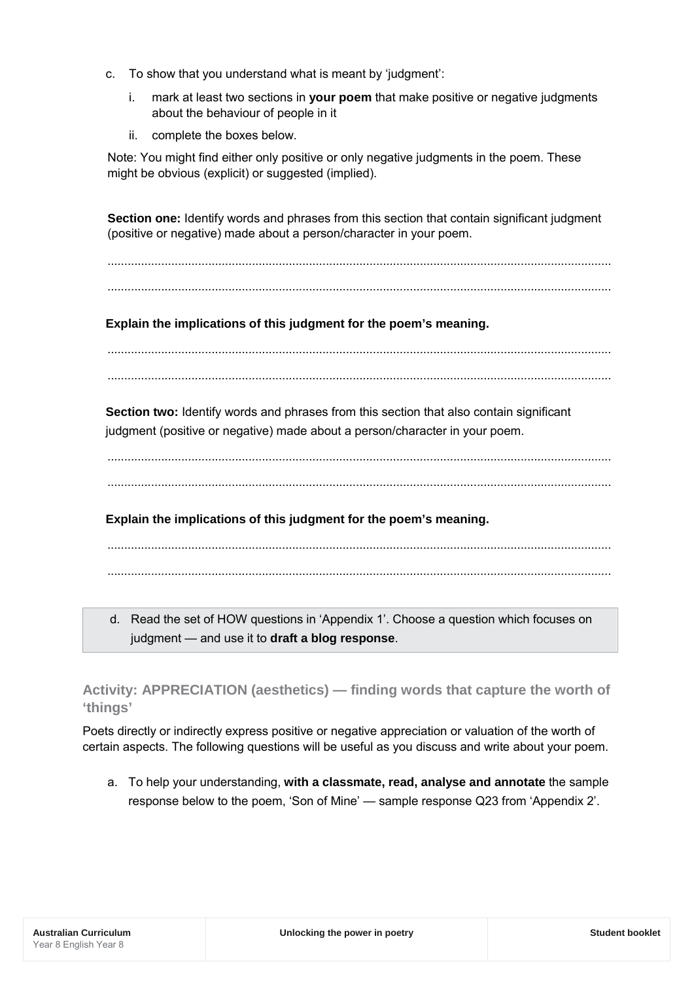- c. To show that you understand what is meant by 'judgment':
	- i. mark at least two sections in **your poem** that make positive or negative judgments about the behaviour of people in it
	- ii. complete the boxes below.

Note: You might find either only positive or only negative judgments in the poem. These might be obvious (explicit) or suggested (implied).

**Section one:** Identify words and phrases from this section that contain significant judgment (positive or negative) made about a person/character in your poem.

...................................................................................................................................................... ......................................................................................................................................................

**Explain the implications of this judgment for the poem's meaning.**

...................................................................................................................................................... ......................................................................................................................................................

**Section two:** Identify words and phrases from this section that also contain significant judgment (positive or negative) made about a person/character in your poem.

...................................................................................................................................................... ......................................................................................................................................................

**Explain the implications of this judgment for the poem's meaning.**

...................................................................................................................................................... ......................................................................................................................................................

d. Read the set of HOW questions in 'Appendix 1'. Choose a question which focuses on judgment — and use it to **draft a blog response**.

**Activity: APPRECIATION (aesthetics) — finding words that capture the worth of 'things'**

Poets directly or indirectly express positive or negative appreciation or valuation of the worth of certain aspects. The following questions will be useful as you discuss and write about your poem.

a. To help your understanding, **with a classmate, read, analyse and annotate** the sample response below to the poem, 'Son of Mine' — sample response Q23 from 'Appendix 2'.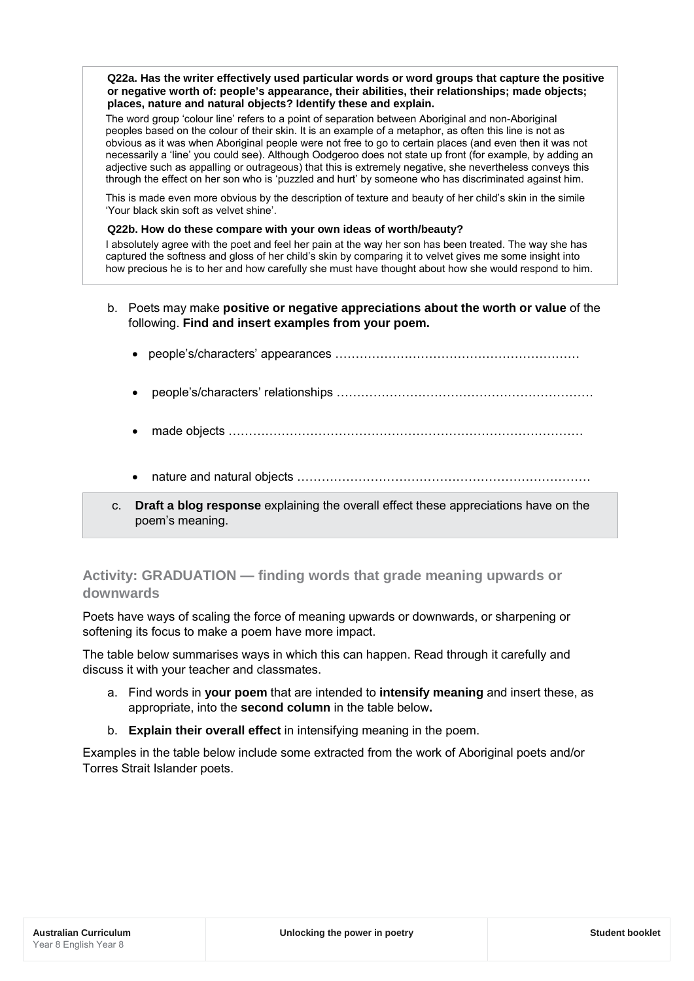**Q22a. Has the writer effectively used particular words or word groups that capture the positive or negative worth of: people's appearance, their abilities, their relationships; made objects; places, nature and natural objects? Identify these and explain.**

The word group 'colour line' refers to a point of separation between Aboriginal and non-Aboriginal peoples based on the colour of their skin. It is an example of a metaphor, as often this line is not as obvious as it was when Aboriginal people were not free to go to certain places (and even then it was not necessarily a 'line' you could see). Although Oodgeroo does not state up front (for example, by adding an adjective such as appalling or outrageous) that this is extremely negative, she nevertheless conveys this through the effect on her son who is 'puzzled and hurt' by someone who has discriminated against him.

This is made even more obvious by the description of texture and beauty of her child's skin in the simile 'Your black skin soft as velvet shine'.

#### **Q22b. How do these compare with your own ideas of worth/beauty?**

I absolutely agree with the poet and feel her pain at the way her son has been treated. The way she has captured the softness and gloss of her child's skin by comparing it to velvet gives me some insight into how precious he is to her and how carefully she must have thought about how she would respond to him.

- b. Poets may make **positive or negative appreciations about the worth or value** of the following. **Find and insert examples from your poem.** 
	- people's/characters' appearances …………………………………………………… • people's/characters' relationships ……………………………………………………… • made objects …………………………………………………………………………… • nature and natural objects ………………………………………………………………
- c. **Draft a blog response** explaining the overall effect these appreciations have on the poem's meaning.

## **Activity: GRADUATION — finding words that grade meaning upwards or downwards**

Poets have ways of scaling the force of meaning upwards or downwards, or sharpening or softening its focus to make a poem have more impact.

The table below summarises ways in which this can happen. Read through it carefully and discuss it with your teacher and classmates.

- a. Find words in **your poem** that are intended to **intensify meaning** and insert these, as appropriate, into the **second column** in the table below**.**
- b. **Explain their overall effect** in intensifying meaning in the poem.

Examples in the table below include some extracted from the work of Aboriginal poets and/or Torres Strait Islander poets.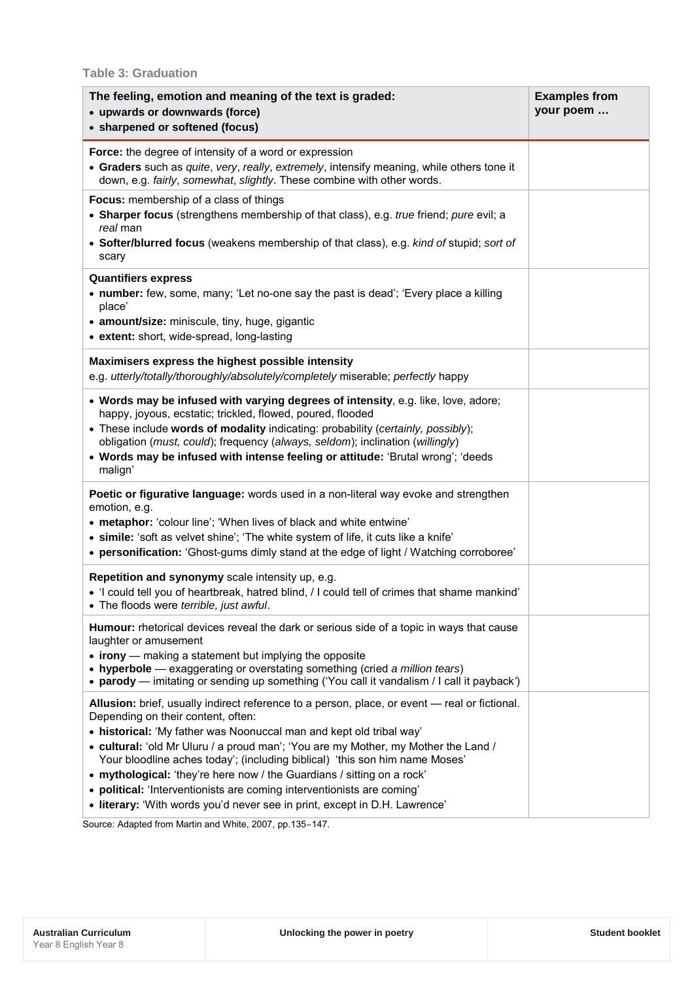## **Table 3: Graduation**

| The feeling, emotion and meaning of the text is graded:<br>• upwards or downwards (force)<br>• sharpened or softened (focus)                                                                                                                                                                                                                                                                                                                                                                                                                                                                                      | <b>Examples from</b><br>your poem |
|-------------------------------------------------------------------------------------------------------------------------------------------------------------------------------------------------------------------------------------------------------------------------------------------------------------------------------------------------------------------------------------------------------------------------------------------------------------------------------------------------------------------------------------------------------------------------------------------------------------------|-----------------------------------|
| Force: the degree of intensity of a word or expression<br>• Graders such as quite, very, really, extremely, intensify meaning, while others tone it<br>down, e.g. fairly, somewhat, slightly. These combine with other words.                                                                                                                                                                                                                                                                                                                                                                                     |                                   |
| Focus: membership of a class of things<br>• Sharper focus (strengthens membership of that class), e.g. true friend; pure evil; a<br>real man<br>• Softer/blurred focus (weakens membership of that class), e.g. kind of stupid; sort of<br>scary                                                                                                                                                                                                                                                                                                                                                                  |                                   |
| <b>Quantifiers express</b><br>• number: few, some, many; 'Let no-one say the past is dead'; 'Every place a killing<br>place'<br>• amount/size: miniscule, tiny, huge, gigantic<br>• extent: short, wide-spread, long-lasting                                                                                                                                                                                                                                                                                                                                                                                      |                                   |
| Maximisers express the highest possible intensity<br>e.g. utterly/totally/thoroughly/absolutely/completely miserable; perfectly happy                                                                                                                                                                                                                                                                                                                                                                                                                                                                             |                                   |
| . Words may be infused with varying degrees of intensity, e.g. like, love, adore;<br>happy, joyous, ecstatic; trickled, flowed, poured, flooded<br>These include words of modality indicating: probability (certainly, possibly);<br>obligation (must, could); frequency (always, seldom); inclination (willingly)<br>. Words may be infused with intense feeling or attitude: 'Brutal wrong'; 'deeds<br>malign'                                                                                                                                                                                                  |                                   |
| Poetic or figurative language: words used in a non-literal way evoke and strengthen<br>emotion, e.g.<br>• metaphor: 'colour line'; 'When lives of black and white entwine'<br>· simile: 'soft as velvet shine'; 'The white system of life, it cuts like a knife'<br>• personification: 'Ghost-gums dimly stand at the edge of light / Watching corroboree'                                                                                                                                                                                                                                                        |                                   |
| Repetition and synonymy scale intensity up, e.g.<br>• 'I could tell you of heartbreak, hatred blind, / I could tell of crimes that shame mankind'<br>• The floods were terrible, just awful.                                                                                                                                                                                                                                                                                                                                                                                                                      |                                   |
| Humour: rhetorical devices reveal the dark or serious side of a topic in ways that cause<br>laughter or amusement<br>$\bullet$ irony — making a statement but implying the opposite<br>• hyperbole — exaggerating or overstating something (cried a million tears)<br>• parody — imitating or sending up something ('You call it vandalism / I call it payback')                                                                                                                                                                                                                                                  |                                   |
| Allusion: brief, usually indirect reference to a person, place, or event — real or fictional.<br>Depending on their content, often:<br>• historical: 'My father was Noonuccal man and kept old tribal way'<br>• cultural: 'old Mr Uluru / a proud man'; 'You are my Mother, my Mother the Land /<br>Your bloodline aches today'; (including biblical) 'this son him name Moses'<br>• mythological: 'they're here now / the Guardians / sitting on a rock'<br>• political: 'Interventionists are coming interventionists are coming'<br>• literary: 'With words you'd never see in print, except in D.H. Lawrence' |                                   |

Source: Adapted from Martin and White, 2007, pp.135–147.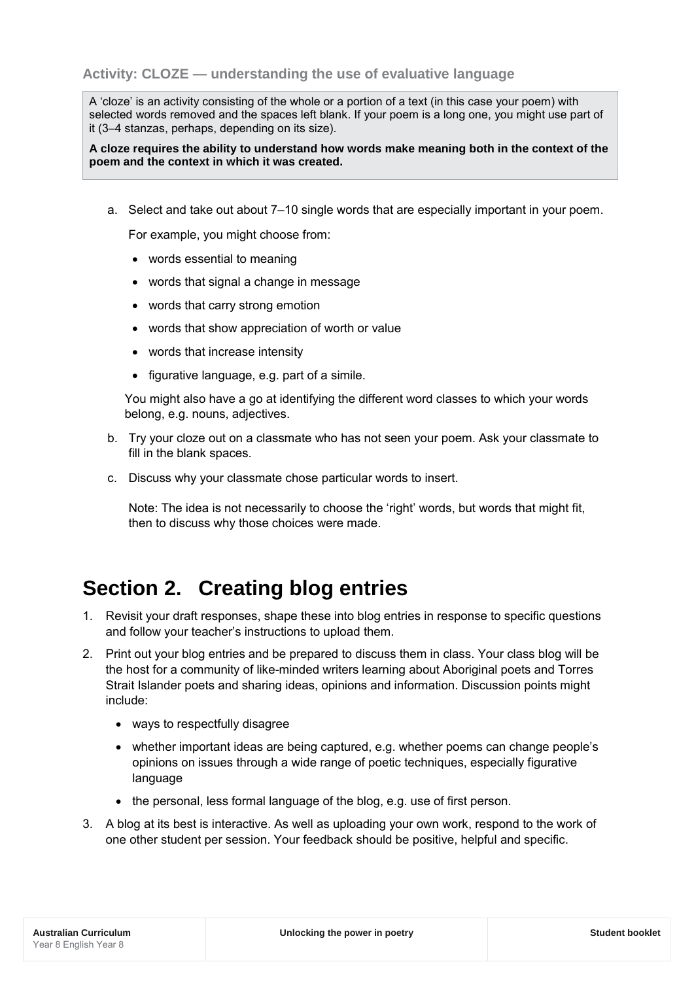A 'cloze' is an activity consisting of the whole or a portion of a text (in this case your poem) with selected words removed and the spaces left blank. If your poem is a long one, you might use part of it (3–4 stanzas, perhaps, depending on its size).

**A cloze requires the ability to understand how words make meaning both in the context of the poem and the context in which it was created.**

a. Select and take out about 7–10 single words that are especially important in your poem.

For example, you might choose from:

- words essential to meaning
- words that signal a change in message
- words that carry strong emotion
- words that show appreciation of worth or value
- words that increase intensity
- figurative language, e.g. part of a simile.

You might also have a go at identifying the different word classes to which your words belong, e.g. nouns, adjectives.

- b. Try your cloze out on a classmate who has not seen your poem. Ask your classmate to fill in the blank spaces.
- c. Discuss why your classmate chose particular words to insert.

Note: The idea is not necessarily to choose the 'right' words, but words that might fit, then to discuss why those choices were made.

## **Section 2. Creating blog entries**

- 1. Revisit your draft responses, shape these into blog entries in response to specific questions and follow your teacher's instructions to upload them.
- 2. Print out your blog entries and be prepared to discuss them in class. Your class blog will be the host for a community of like-minded writers learning about Aboriginal poets and Torres Strait Islander poets and sharing ideas, opinions and information. Discussion points might include:
	- ways to respectfully disagree
	- whether important ideas are being captured, e.g. whether poems can change people's opinions on issues through a wide range of poetic techniques, especially figurative language
	- the personal, less formal language of the blog, e.g. use of first person.
- 3. A blog at its best is interactive. As well as uploading your own work, respond to the work of one other student per session. Your feedback should be positive, helpful and specific.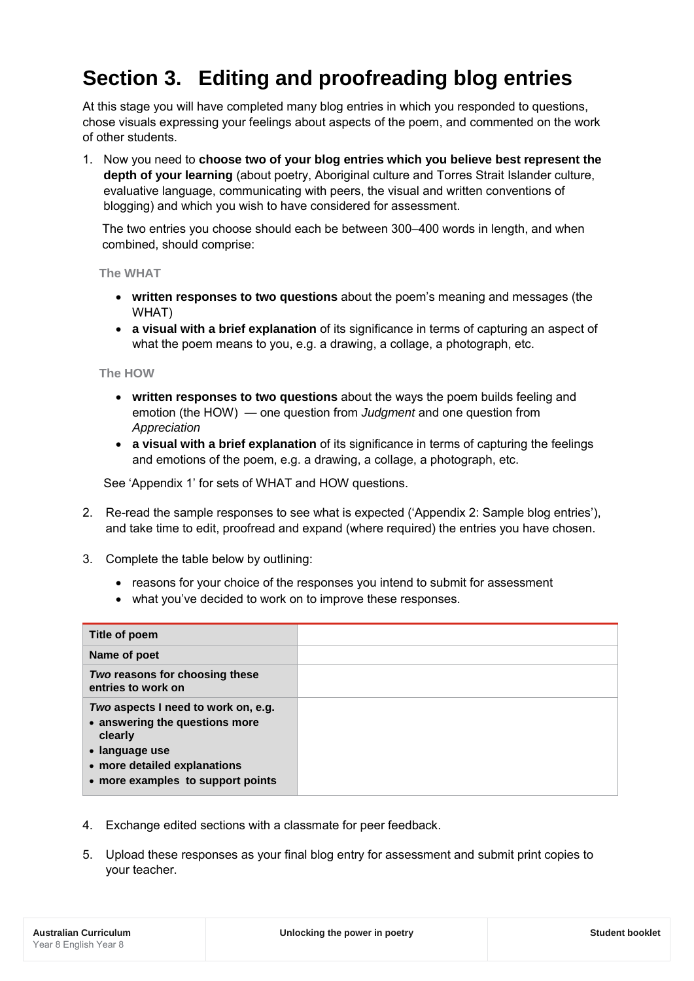## **Section 3. Editing and proofreading blog entries**

At this stage you will have completed many blog entries in which you responded to questions, chose visuals expressing your feelings about aspects of the poem, and commented on the work of other students.

1. Now you need to **choose two of your blog entries which you believe best represent the depth of your learning** (about poetry, Aboriginal culture and Torres Strait Islander culture, evaluative language, communicating with peers, the visual and written conventions of blogging) and which you wish to have considered for assessment.

The two entries you choose should each be between 300–400 words in length, and when combined, should comprise:

**The WHAT**

- **written responses to two questions** about the poem's meaning and messages (the WHAT)
- **a visual with a brief explanation** of its significance in terms of capturing an aspect of what the poem means to you, e.g. a drawing, a collage, a photograph, etc.

**The HOW**

- **written responses to two questions** about the ways the poem builds feeling and emotion (the HOW) — one question from *Judgment* and one question from *Appreciation*
- **a visual with a brief explanation** of its significance in terms of capturing the feelings and emotions of the poem, e.g. a drawing, a collage, a photograph, etc.

See 'Appendix 1' for sets of WHAT and HOW questions.

- 2. Re-read the sample responses to see what is expected ('Appendix 2: Sample blog entries'), and take time to edit, proofread and expand (where required) the entries you have chosen.
- 3. Complete the table below by outlining:
	- reasons for your choice of the responses you intend to submit for assessment
	- what you've decided to work on to improve these responses.

| Title of poem                                                                                                                                                           |  |
|-------------------------------------------------------------------------------------------------------------------------------------------------------------------------|--|
| Name of poet                                                                                                                                                            |  |
| Two reasons for choosing these<br>entries to work on                                                                                                                    |  |
| Two aspects I need to work on, e.g.<br>• answering the questions more<br>clearly<br>• language use<br>• more detailed explanations<br>• more examples to support points |  |

- 4. Exchange edited sections with a classmate for peer feedback.
- 5. Upload these responses as your final blog entry for assessment and submit print copies to your teacher.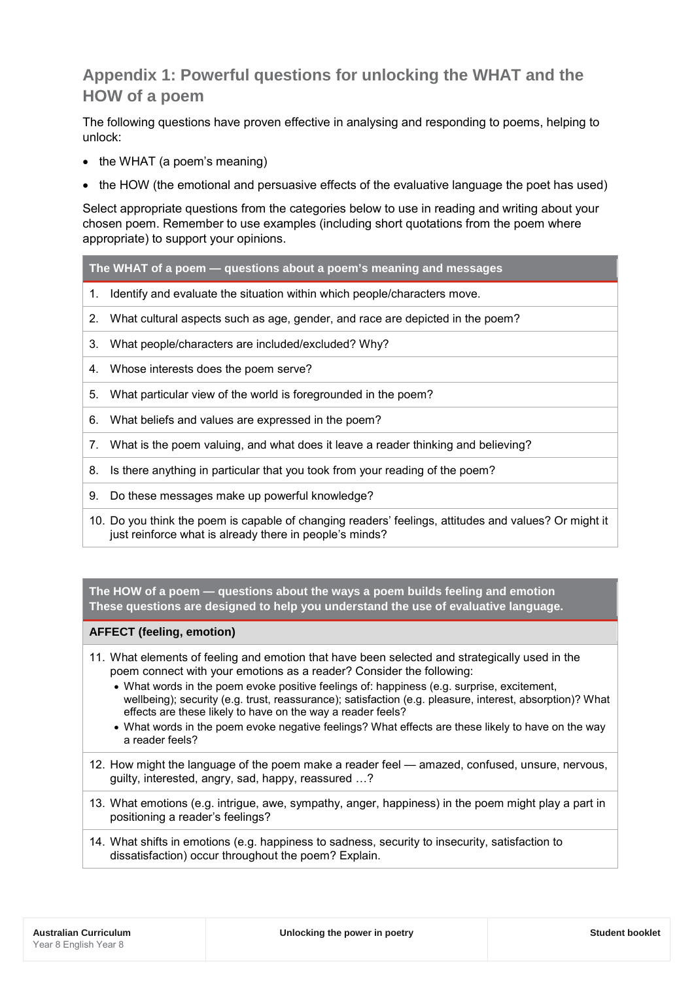## **Appendix 1: Powerful questions for unlocking the WHAT and the HOW of a poem**

The following questions have proven effective in analysing and responding to poems, helping to unlock:

- the WHAT (a poem's meaning)
- the HOW (the emotional and persuasive effects of the evaluative language the poet has used)

Select appropriate questions from the categories below to use in reading and writing about your chosen poem. Remember to use examples (including short quotations from the poem where appropriate) to support your opinions.

**The WHAT of a poem — questions about a poem's meaning and messages**

- 1. Identify and evaluate the situation within which people/characters move.
- 2. What cultural aspects such as age, gender, and race are depicted in the poem?
- 3. What people/characters are included/excluded? Why?
- 4. Whose interests does the poem serve?
- 5. What particular view of the world is foregrounded in the poem?
- 6. What beliefs and values are expressed in the poem?
- 7. What is the poem valuing, and what does it leave a reader thinking and believing?
- 8. Is there anything in particular that you took from your reading of the poem?
- 9. Do these messages make up powerful knowledge?
- 10. Do you think the poem is capable of changing readers' feelings, attitudes and values? Or might it just reinforce what is already there in people's minds?

**The HOW of a poem — questions about the ways a poem builds feeling and emotion These questions are designed to help you understand the use of evaluative language.**

## **AFFECT (feeling, emotion)**

- 11. What elements of feeling and emotion that have been selected and strategically used in the poem connect with your emotions as a reader? Consider the following:
	- What words in the poem evoke positive feelings of: happiness (e.g. surprise, excitement, wellbeing); security (e.g. trust, reassurance); satisfaction (e.g. pleasure, interest, absorption)? What effects are these likely to have on the way a reader feels?
	- What words in the poem evoke negative feelings? What effects are these likely to have on the way a reader feels?
- 12. How might the language of the poem make a reader feel amazed, confused, unsure, nervous, guilty, interested, angry, sad, happy, reassured …?
- 13. What emotions (e.g. intrigue, awe, sympathy, anger, happiness) in the poem might play a part in positioning a reader's feelings?
- 14. What shifts in emotions (e.g. happiness to sadness, security to insecurity, satisfaction to dissatisfaction) occur throughout the poem? Explain.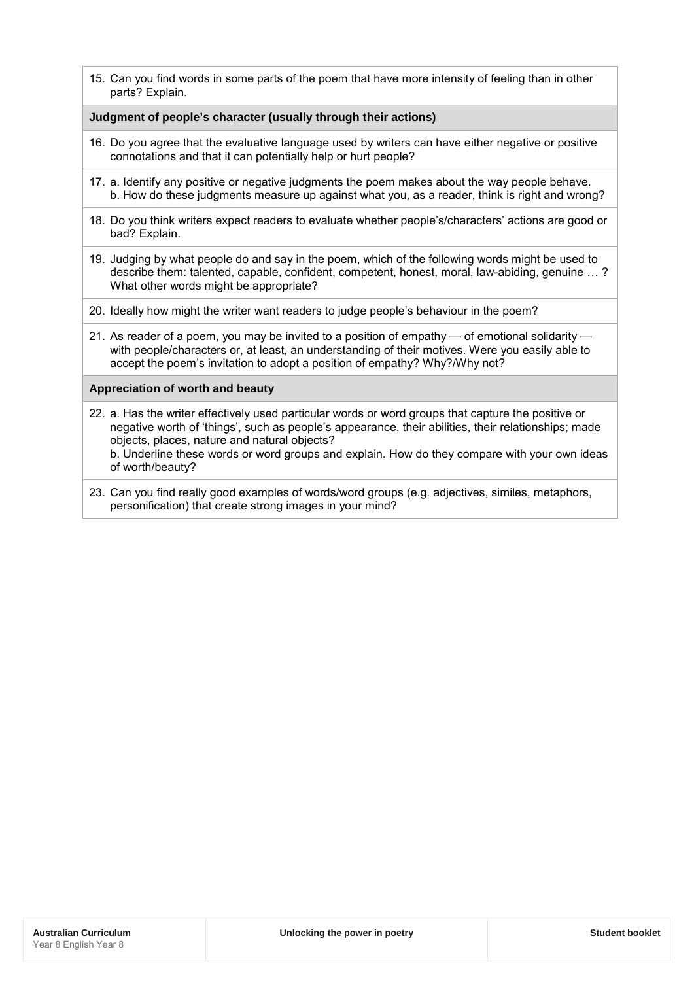15. Can you find words in some parts of the poem that have more intensity of feeling than in other parts? Explain.

### **Judgment of people's character (usually through their actions)**

- 16. Do you agree that the evaluative language used by writers can have either negative or positive connotations and that it can potentially help or hurt people?
- 17. a. Identify any positive or negative judgments the poem makes about the way people behave. b. How do these judgments measure up against what you, as a reader, think is right and wrong?
- 18. Do you think writers expect readers to evaluate whether people's/characters' actions are good or bad? Explain.
- 19. Judging by what people do and say in the poem, which of the following words might be used to describe them: talented, capable, confident, competent, honest, moral, law-abiding, genuine … ? What other words might be appropriate?
- 20. Ideally how might the writer want readers to judge people's behaviour in the poem?
- 21. As reader of a poem, you may be invited to a position of empathy of emotional solidarity with people/characters or, at least, an understanding of their motives. Were you easily able to accept the poem's invitation to adopt a position of empathy? Why?/Why not?

### **Appreciation of worth and beauty**

- 22. a. Has the writer effectively used particular words or word groups that capture the positive or negative worth of 'things', such as people's appearance, their abilities, their relationships; made objects, places, nature and natural objects? b. Underline these words or word groups and explain. How do they compare with your own ideas
- of worth/beauty? 23. Can you find really good examples of words/word groups (e.g. adjectives, similes, metaphors,
- personification) that create strong images in your mind?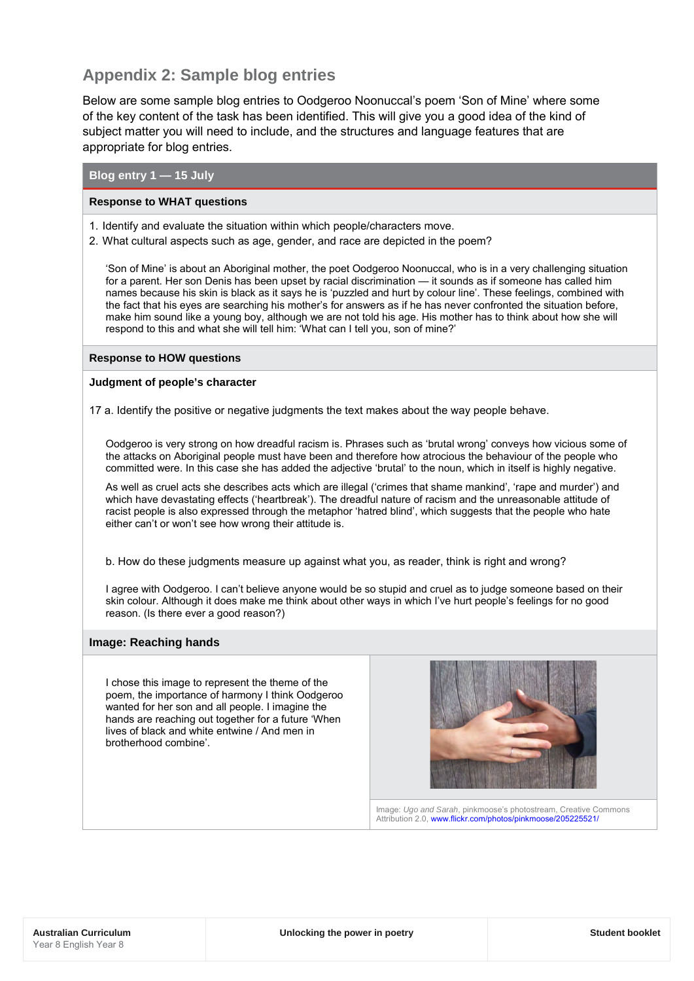## **Appendix 2: Sample blog entries**

Below are some sample blog entries to Oodgeroo Noonuccal's poem 'Son of Mine' where some of the key content of the task has been identified. This will give you a good idea of the kind of subject matter you will need to include, and the structures and language features that are appropriate for blog entries.

## **Blog entry 1 — 15 July**

#### **Response to WHAT questions**

- 1. Identify and evaluate the situation within which people/characters move.
- 2. What cultural aspects such as age, gender, and race are depicted in the poem?

'Son of Mine' is about an Aboriginal mother, the poet Oodgeroo Noonuccal, who is in a very challenging situation for a parent. Her son Denis has been upset by racial discrimination — it sounds as if someone has called him names because his skin is black as it says he is 'puzzled and hurt by colour line'. These feelings, combined with the fact that his eyes are searching his mother's for answers as if he has never confronted the situation before, make him sound like a young boy, although we are not told his age. His mother has to think about how she will respond to this and what she will tell him: 'What can I tell you, son of mine?'

#### **Response to HOW questions**

#### **Judgment of people's character**

17 a. Identify the positive or negative judgments the text makes about the way people behave.

Oodgeroo is very strong on how dreadful racism is. Phrases such as 'brutal wrong' conveys how vicious some of the attacks on Aboriginal people must have been and therefore how atrocious the behaviour of the people who committed were. In this case she has added the adjective 'brutal' to the noun, which in itself is highly negative.

As well as cruel acts she describes acts which are illegal ('crimes that shame mankind', 'rape and murder') and which have devastating effects ('heartbreak'). The dreadful nature of racism and the unreasonable attitude of racist people is also expressed through the metaphor 'hatred blind', which suggests that the people who hate either can't or won't see how wrong their attitude is.

b. How do these judgments measure up against what you, as reader, think is right and wrong?

I agree with Oodgeroo. I can't believe anyone would be so stupid and cruel as to judge someone based on their skin colour. Although it does make me think about other ways in which I've hurt people's feelings for no good reason. (Is there ever a good reason?)

#### **Image: Reaching hands**

I chose this image to represent the theme of the poem, the importance of harmony I think Oodgeroo wanted for her son and all people. I imagine the hands are reaching out together for a future 'When lives of black and white entwine / And men in brotherhood combine'.



Image: *Ugo and Sarah*, pinkmoose's photostream, Creative Commons Attribution 2.0, [www.flickr.com/photos/pinkmoose/205225521/](https://www.flickr.com/photos/pinkmoose/205225521/)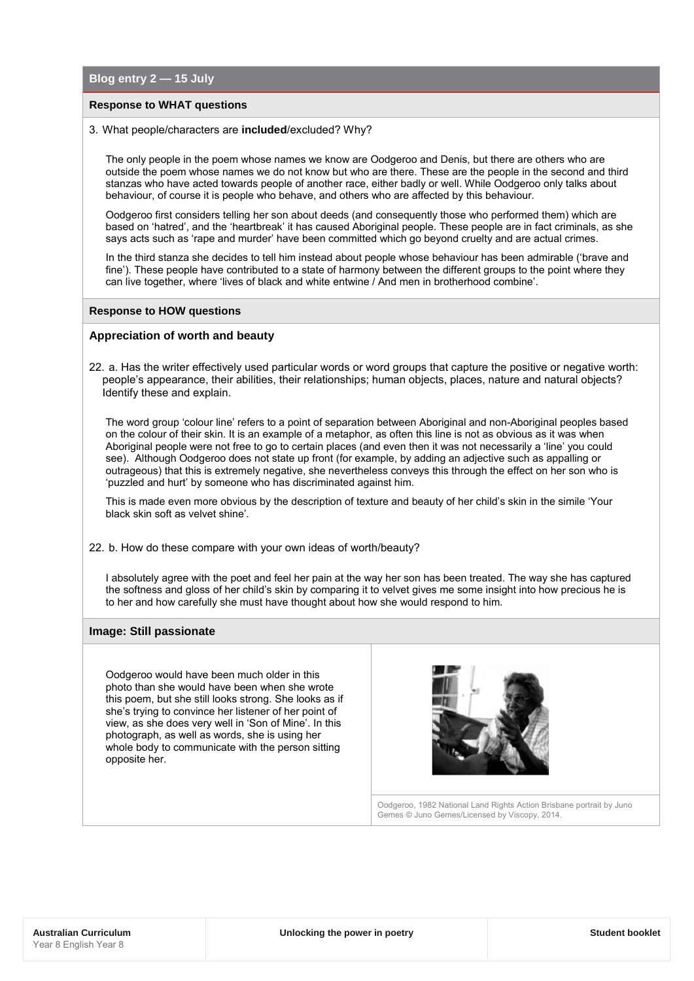**Blog entry 2 — 15 July**

#### **Response to WHAT questions**

#### 3. What people/characters are **included**/excluded? Why?

The only people in the poem whose names we know are Oodgeroo and Denis, but there are others who are outside the poem whose names we do not know but who are there. These are the people in the second and third stanzas who have acted towards people of another race, either badly or well. While Oodgeroo only talks about behaviour, of course it is people who behave, and others who are affected by this behaviour.

Oodgeroo first considers telling her son about deeds (and consequently those who performed them) which are based on 'hatred', and the 'heartbreak' it has caused Aboriginal people. These people are in fact criminals, as she says acts such as 'rape and murder' have been committed which go beyond cruelty and are actual crimes.

In the third stanza she decides to tell him instead about people whose behaviour has been admirable ('brave and fine'). These people have contributed to a state of harmony between the different groups to the point where they can live together, where 'lives of black and white entwine / And men in brotherhood combine'.

#### **Response to HOW questions**

#### **Appreciation of worth and beauty**

22. a. Has the writer effectively used particular words or word groups that capture the positive or negative worth: people's appearance, their abilities, their relationships; human objects, places, nature and natural objects? Identify these and explain.

The word group 'colour line' refers to a point of separation between Aboriginal and non-Aboriginal peoples based on the colour of their skin. It is an example of a metaphor, as often this line is not as obvious as it was when Aboriginal people were not free to go to certain places (and even then it was not necessarily a 'line' you could see). Although Oodgeroo does not state up front (for example, by adding an adjective such as appalling or outrageous) that this is extremely negative, she nevertheless conveys this through the effect on her son who is 'puzzled and hurt' by someone who has discriminated against him.

This is made even more obvious by the description of texture and beauty of her child's skin in the simile 'Your black skin soft as velvet shine'.

22. b. How do these compare with your own ideas of worth/beauty?

I absolutely agree with the poet and feel her pain at the way her son has been treated. The way she has captured the softness and gloss of her child's skin by comparing it to velvet gives me some insight into how precious he is to her and how carefully she must have thought about how she would respond to him.

#### **Image: Still passionate**

Oodgeroo would have been much older in this photo than she would have been when she wrote this poem, but she still looks strong. She looks as if she's trying to convince her listener of her point of view, as she does very well in 'Son of Mine'. In this photograph, as well as words, she is using her whole body to communicate with the person sitting opposite her.



Oodgeroo, 1982 National Land Rights Action Brisbane portrait by Juno Gemes © Juno Gemes/Licensed by Viscopy, 2014.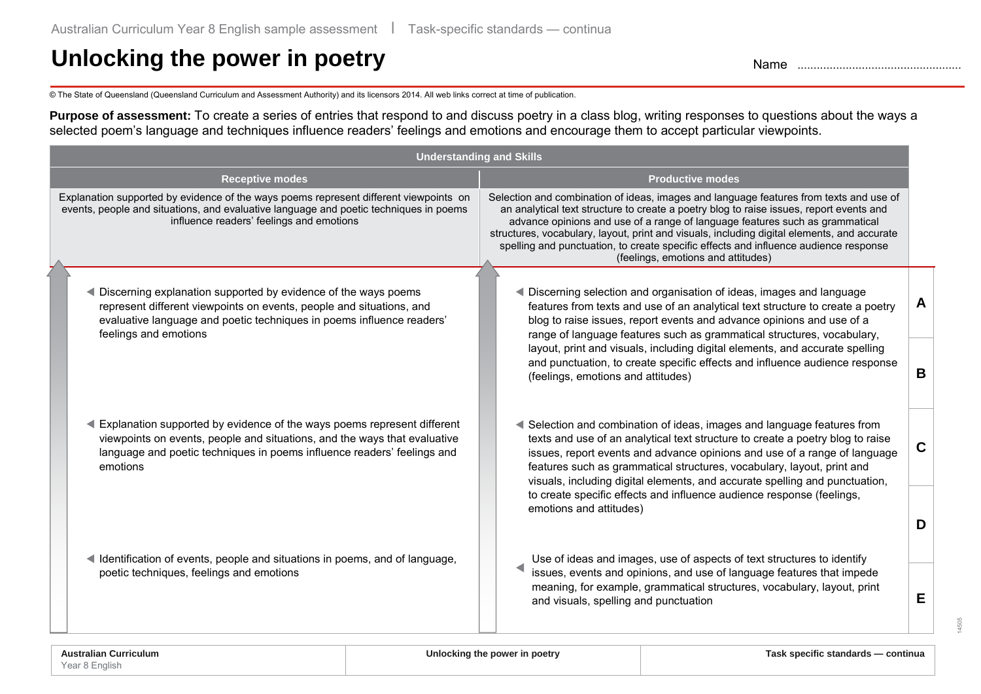# Unlocking the power in poetry **Name 2016** Name ..................................

© The State of Queensland (Queensland Curriculum and Assessment Authority) and its licensors 2014. All web links correct at time of publication.

**Purpose of assessment:** To create a series of entries that respond to and discuss poetry in a class blog, writing responses to questions about the ways a selected poem's language and techniques influence readers' feelings and emotions and encourage them to accept particular viewpoints.

| <b>Understanding and Skills</b>                                                                                                                                                                                                             |                                                                                                                                                                                                                                                                                                                                                                                                                                                                                                |             |  |  |
|---------------------------------------------------------------------------------------------------------------------------------------------------------------------------------------------------------------------------------------------|------------------------------------------------------------------------------------------------------------------------------------------------------------------------------------------------------------------------------------------------------------------------------------------------------------------------------------------------------------------------------------------------------------------------------------------------------------------------------------------------|-------------|--|--|
| <b>Receptive modes</b>                                                                                                                                                                                                                      | <b>Productive modes</b>                                                                                                                                                                                                                                                                                                                                                                                                                                                                        |             |  |  |
| Explanation supported by evidence of the ways poems represent different viewpoints on<br>events, people and situations, and evaluative language and poetic techniques in poems<br>influence readers' feelings and emotions                  | Selection and combination of ideas, images and language features from texts and use of<br>an analytical text structure to create a poetry blog to raise issues, report events and<br>advance opinions and use of a range of language features such as grammatical<br>structures, vocabulary, layout, print and visuals, including digital elements, and accurate<br>spelling and punctuation, to create specific effects and influence audience response<br>(feelings, emotions and attitudes) |             |  |  |
| ◀ Discerning explanation supported by evidence of the ways poems<br>represent different viewpoints on events, people and situations, and<br>evaluative language and poetic techniques in poems influence readers'<br>feelings and emotions  | Discerning selection and organisation of ideas, images and language<br>features from texts and use of an analytical text structure to create a poetry<br>blog to raise issues, report events and advance opinions and use of a<br>range of language features such as grammatical structures, vocabulary,                                                                                                                                                                                       | A           |  |  |
|                                                                                                                                                                                                                                             | layout, print and visuals, including digital elements, and accurate spelling<br>and punctuation, to create specific effects and influence audience response<br>(feelings, emotions and attitudes)                                                                                                                                                                                                                                                                                              | B           |  |  |
| Explanation supported by evidence of the ways poems represent different<br>viewpoints on events, people and situations, and the ways that evaluative<br>language and poetic techniques in poems influence readers' feelings and<br>emotions | Selection and combination of ideas, images and language features from<br>texts and use of an analytical text structure to create a poetry blog to raise<br>issues, report events and advance opinions and use of a range of language<br>features such as grammatical structures, vocabulary, layout, print and<br>visuals, including digital elements, and accurate spelling and punctuation,                                                                                                  | $\mathbf c$ |  |  |
| Identification of events, people and situations in poems, and of language,                                                                                                                                                                  | to create specific effects and influence audience response (feelings,<br>emotions and attitudes)<br>Use of ideas and images, use of aspects of text structures to identify                                                                                                                                                                                                                                                                                                                     | D           |  |  |
| poetic techniques, feelings and emotions                                                                                                                                                                                                    | issues, events and opinions, and use of language features that impede<br>meaning, for example, grammatical structures, vocabulary, layout, print<br>and visuals, spelling and punctuation                                                                                                                                                                                                                                                                                                      | E           |  |  |

14505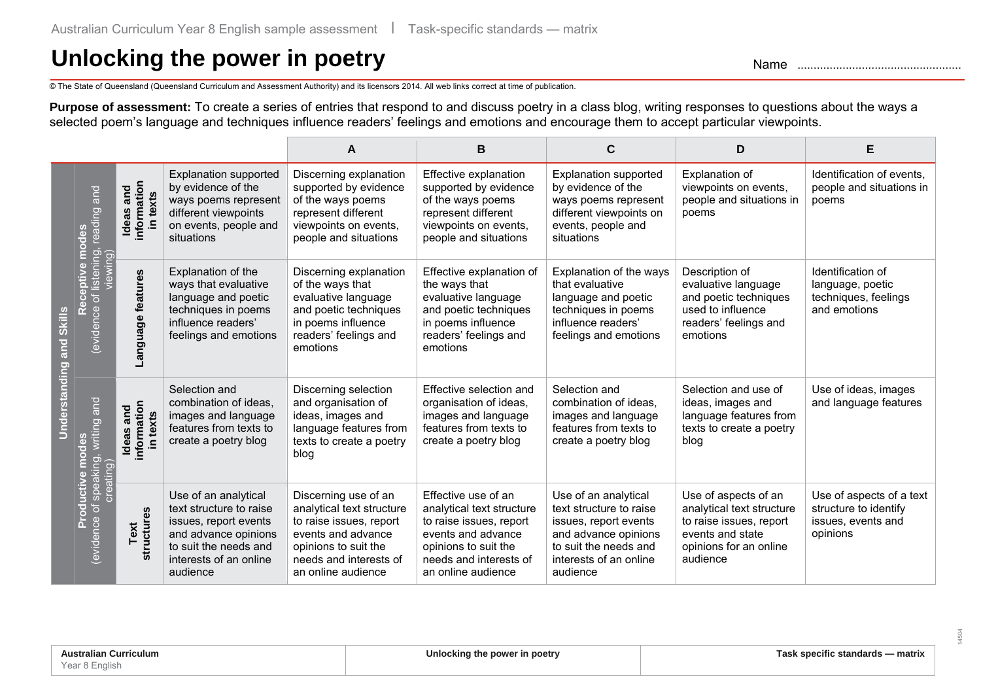# Unlocking the power in poetry **Name 2016** Name ..................................

© The State of Queensland (Queensland Curriculum and Assessment Authority) and its licensors 2014. All web links correct at time of publication.

**Purpose of assessment:** To create a series of entries that respond to and discuss poetry in a class blog, writing responses to questions about the ways a selected poem's language and techniques influence readers' feelings and emotions and encourage them to accept particular viewpoints.

|                                    |                                                            |                                                |                                                                                                                                                                 | A                                                                                                                                                                          | В                                                                                                                                                                         | C                                                                                                                                                               | D                                                                                                                                      | Е                                                                                   |
|------------------------------------|------------------------------------------------------------|------------------------------------------------|-----------------------------------------------------------------------------------------------------------------------------------------------------------------|----------------------------------------------------------------------------------------------------------------------------------------------------------------------------|---------------------------------------------------------------------------------------------------------------------------------------------------------------------------|-----------------------------------------------------------------------------------------------------------------------------------------------------------------|----------------------------------------------------------------------------------------------------------------------------------------|-------------------------------------------------------------------------------------|
| <b>Skills</b><br>Understanding and | $\overline{a}$<br>reading                                  | information<br>Ideas and<br>in texts           | <b>Explanation supported</b><br>by evidence of the<br>ways poems represent<br>different viewpoints<br>on events, people and<br>situations                       | Discerning explanation<br>supported by evidence<br>of the ways poems<br>represent different<br>viewpoints on events,<br>people and situations                              | Effective explanation<br>supported by evidence<br>of the ways poems<br>represent different<br>viewpoints on events,<br>people and situations                              | <b>Explanation supported</b><br>by evidence of the<br>ways poems represent<br>different viewpoints on<br>events, people and<br>situations                       | Explanation of<br>viewpoints on events,<br>people and situations in<br>poems                                                           | Identification of events,<br>people and situations in<br>poems                      |
|                                    | Receptive modes<br>of listening, I<br>viewing)<br>evidence | Language features                              | Explanation of the<br>ways that evaluative<br>language and poetic<br>techniques in poems<br>influence readers'<br>feelings and emotions                         | Discerning explanation<br>of the ways that<br>evaluative language<br>and poetic techniques<br>in poems influence<br>readers' feelings and<br>emotions                      | Effective explanation of<br>the ways that<br>evaluative language<br>and poetic techniques<br>in poems influence<br>readers' feelings and<br>emotions                      | Explanation of the ways<br>that evaluative<br>language and poetic<br>techniques in poems<br>influence readers'<br>feelings and emotions                         | Description of<br>evaluative language<br>and poetic techniques<br>used to influence<br>readers' feelings and<br>emotions               | Identification of<br>language, poetic<br>techniques, feelings<br>and emotions       |
|                                    | and<br>writing<br>creating)                                | information<br>and<br>in texts<br><b>Ideas</b> | Selection and<br>combination of ideas.<br>images and language<br>features from texts to<br>create a poetry blog                                                 | Discerning selection<br>and organisation of<br>ideas, images and<br>language features from<br>texts to create a poetry<br>blog                                             | Effective selection and<br>organisation of ideas,<br>images and language<br>features from texts to<br>create a poetry blog                                                | Selection and<br>combination of ideas.<br>images and language<br>features from texts to<br>create a poetry blog                                                 | Selection and use of<br>ideas, images and<br>language features from<br>texts to create a poetry<br>blog                                | Use of ideas, images<br>and language features                                       |
|                                    | of speaking<br>Productiv<br>evidence                       | structures<br>ext                              | Use of an analytical<br>text structure to raise<br>issues, report events<br>and advance opinions<br>to suit the needs and<br>interests of an online<br>audience | Discerning use of an<br>analytical text structure<br>to raise issues, report<br>events and advance<br>opinions to suit the<br>needs and interests of<br>an online audience | Effective use of an<br>analytical text structure<br>to raise issues, report<br>events and advance<br>opinions to suit the<br>needs and interests of<br>an online audience | Use of an analytical<br>text structure to raise<br>issues, report events<br>and advance opinions<br>to suit the needs and<br>interests of an online<br>audience | Use of aspects of an<br>analytical text structure<br>to raise issues, report<br>events and state<br>opinions for an online<br>audience | Use of aspects of a text<br>structure to identify<br>issues, events and<br>opinions |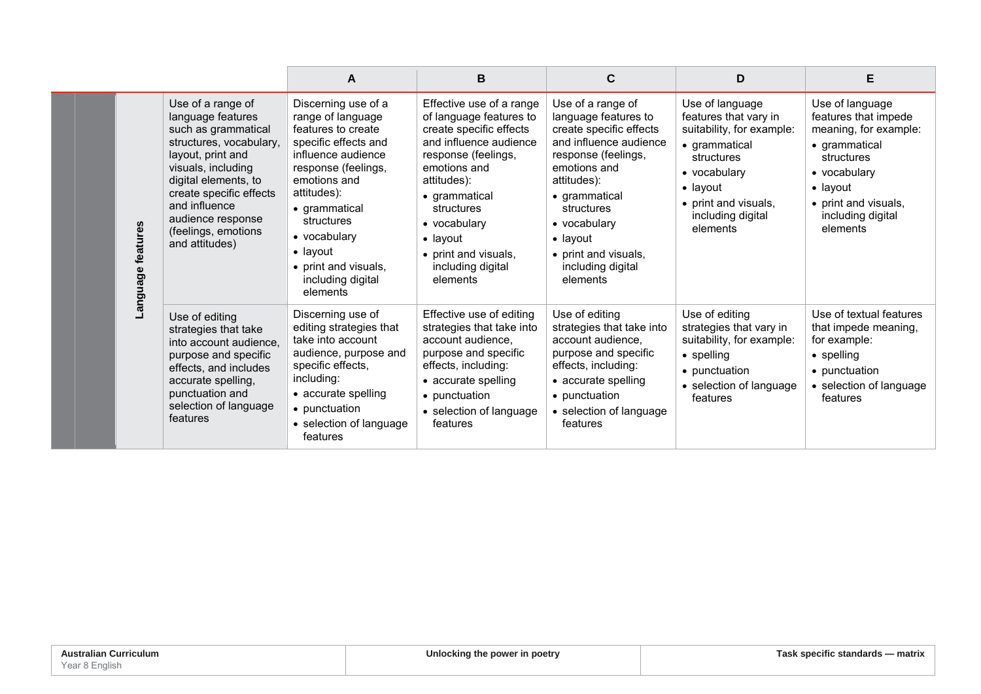|                                                                                                                                                                                                                                                                                                      | A                                                                                                                                                                                                                                                                                      | B                                                                                                                                                                                                                                                                                          | C                                                                                                                                                                                                                                                                                | D                                                                                                                                                                                                 | Е                                                                                                                                                                                            |
|------------------------------------------------------------------------------------------------------------------------------------------------------------------------------------------------------------------------------------------------------------------------------------------------------|----------------------------------------------------------------------------------------------------------------------------------------------------------------------------------------------------------------------------------------------------------------------------------------|--------------------------------------------------------------------------------------------------------------------------------------------------------------------------------------------------------------------------------------------------------------------------------------------|----------------------------------------------------------------------------------------------------------------------------------------------------------------------------------------------------------------------------------------------------------------------------------|---------------------------------------------------------------------------------------------------------------------------------------------------------------------------------------------------|----------------------------------------------------------------------------------------------------------------------------------------------------------------------------------------------|
| Use of a range of<br>language features<br>such as grammatical<br>structures, vocabulary,<br>layout, print and<br>visuals, including<br>digital elements, to<br>create specific effects<br>and influence<br>audience response<br>features<br>(feelings, emotions<br>and attitudes)<br><b>Panguage</b> | Discerning use of a<br>range of language<br>features to create<br>specific effects and<br>influence audience<br>response (feelings,<br>emotions and<br>attitudes):<br>• grammatical<br>structures<br>• vocabulary<br>• layout<br>• print and visuals,<br>including digital<br>elements | Effective use of a range<br>of language features to<br>create specific effects<br>and influence audience<br>response (feelings,<br>emotions and<br>attitudes):<br>• grammatical<br>structures<br>• vocabulary<br>$\bullet$ layout<br>• print and visuals,<br>including digital<br>elements | Use of a range of<br>language features to<br>create specific effects<br>and influence audience<br>response (feelings,<br>emotions and<br>attitudes):<br>• grammatical<br>structures<br>• vocabulary<br>$\bullet$ layout<br>• print and visuals,<br>including digital<br>elements | Use of language<br>features that vary in<br>suitability, for example:<br>• grammatical<br>structures<br>• vocabulary<br>$\bullet$ layout<br>• print and visuals,<br>including digital<br>elements | Use of language<br>features that impede<br>meaning, for example:<br>• grammatical<br>structures<br>• vocabulary<br>$\bullet$ layout<br>• print and visuals,<br>including digital<br>elements |
| Use of editing<br>strategies that take<br>into account audience.<br>purpose and specific<br>effects, and includes<br>accurate spelling,<br>punctuation and<br>selection of language<br>features                                                                                                      | Discerning use of<br>editing strategies that<br>take into account<br>audience, purpose and<br>specific effects,<br>including:<br>• accurate spelling<br>• punctuation<br>• selection of language<br>features                                                                           | Effective use of editing<br>strategies that take into<br>account audience.<br>purpose and specific<br>effects, including:<br>• accurate spelling<br>• punctuation<br>• selection of language<br>features                                                                                   | Use of editing<br>strategies that take into<br>account audience,<br>purpose and specific<br>effects, including:<br>• accurate spelling<br>• punctuation<br>• selection of language<br>features                                                                                   | Use of editing<br>strategies that vary in<br>suitability, for example:<br>$\bullet$ spelling<br>• punctuation<br>• selection of language<br>features                                              | Use of textual features<br>that impede meaning,<br>for example:<br>$\bullet$ spelling<br>• punctuation<br>• selection of language<br>features                                                |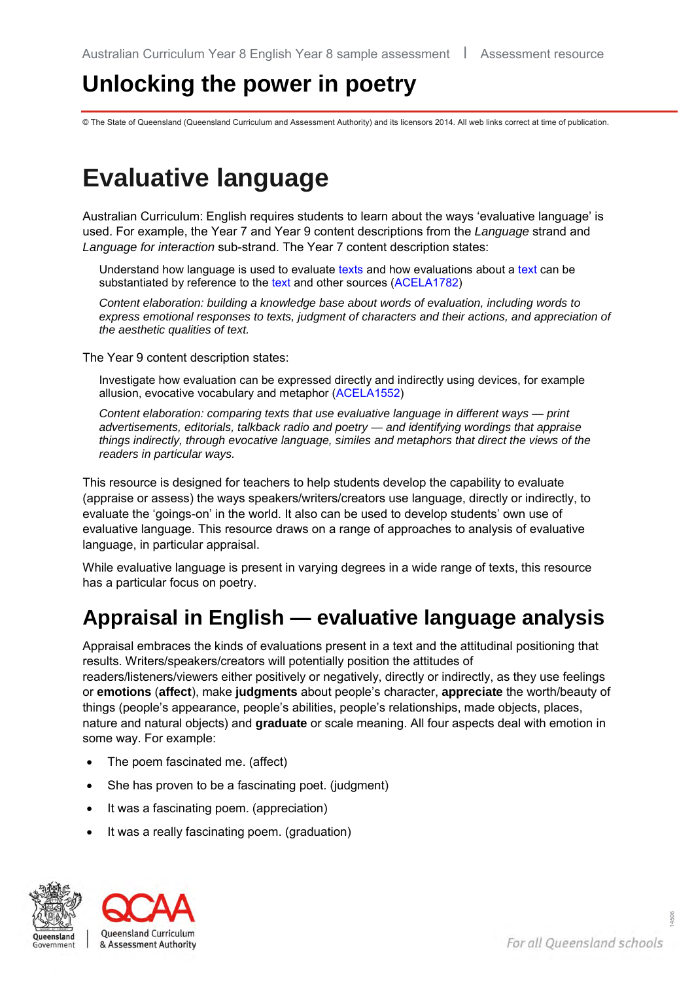# **Unlocking the power in poetry**

© The State of Queensland (Queensland Curriculum and Assessment Authority) and its licensors 2014. All web links correct at time of publication.

# **Evaluative language**

Australian Curriculum: English requires students to learn about the ways 'evaluative language' is used. For example, the Year 7 and Year 9 content descriptions from the *Language* strand and *Language for interaction* sub-strand. The Year 7 content description states:

Understand how language is used to evaluate [texts](http://www.australiancurriculum.edu.au/Glossary?a=E&t=text) and how evaluations about a [text](http://www.australiancurriculum.edu.au/Glossary?a=E&t=text) can be substantiated by reference to the [text](http://www.australiancurriculum.edu.au/Glossary?a=E&t=text) and other sources [\(ACELA1782\)](http://www.australiancurriculum.edu.au/curriculum/ContentDescription/ACELA1782)

*Content elaboration: building a knowledge base about words of evaluation, including words to express emotional responses to texts, judgment of characters and their actions, and appreciation of the aesthetic qualities of text.* 

The Year 9 content description states:

Investigate how evaluation can be expressed directly and indirectly using devices, for example allusion, evocative vocabulary and metaphor [\(ACELA1552\)](http://www.australiancurriculum.edu.au/curriculum/ContentDescription/ACELA1552)

*Content elaboration: comparing texts that use evaluative language in different ways — print advertisements, editorials, talkback radio and poetry — and identifying wordings that appraise things indirectly, through evocative language, similes and metaphors that direct the views of the readers in particular ways.*

This resource is designed for teachers to help students develop the capability to evaluate (appraise or assess) the ways speakers/writers/creators use language, directly or indirectly, to evaluate the 'goings-on' in the world. It also can be used to develop students' own use of evaluative language. This resource draws on a range of approaches to analysis of evaluative language, in particular appraisal.

While evaluative language is present in varying degrees in a wide range of texts, this resource has a particular focus on poetry.

# **Appraisal in English — evaluative language analysis**

Appraisal embraces the kinds of evaluations present in a text and the attitudinal positioning that results. Writers/speakers/creators will potentially position the attitudes of readers/listeners/viewers either positively or negatively, directly or indirectly, as they use feelings or **emotions** (**affect**), make **judgments** about people's character, **appreciate** the worth/beauty of things (people's appearance, people's abilities, people's relationships, made objects, places, nature and natural objects) and **graduate** or scale meaning. All four aspects deal with emotion in some way. For example:

- The poem fascinated me. (affect)
- She has proven to be a fascinating poet. (judgment)
- It was a fascinating poem. (appreciation)
- It was a really fascinating poem. (graduation)



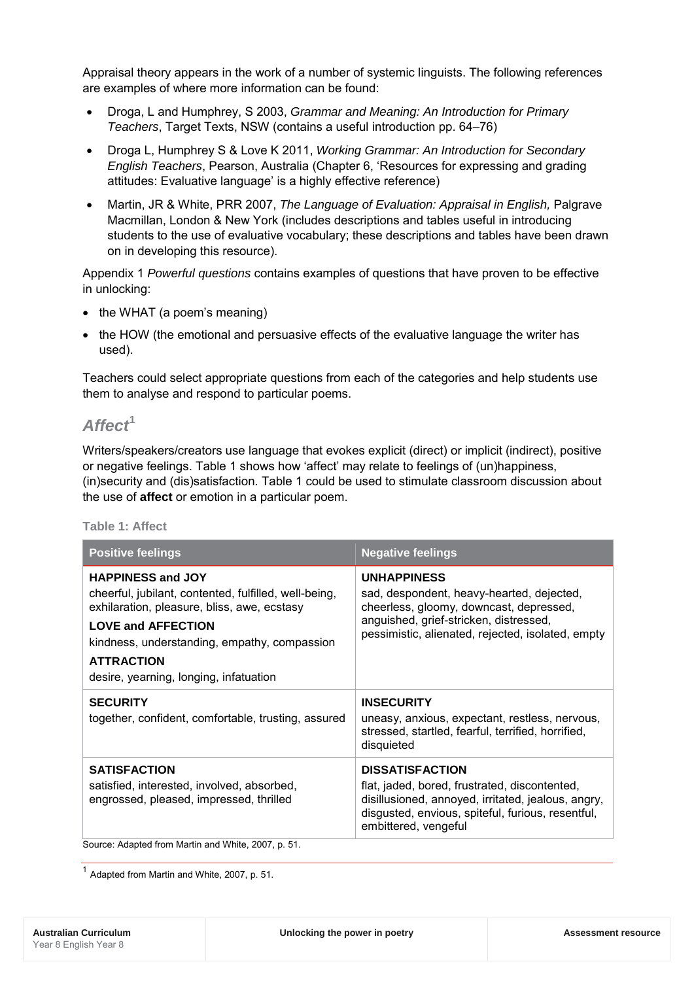Appraisal theory appears in the work of a number of systemic linguists. The following references are examples of where more information can be found:

- Droga, L and Humphrey, S 2003, *Grammar and Meaning: An Introduction for Primary Teachers*, Target Texts, NSW (contains a useful introduction pp. 64–76)
- Droga L, Humphrey S & Love K 2011, *Working Grammar: An Introduction for Secondary English Teachers*, Pearson, Australia (Chapter 6, 'Resources for expressing and grading attitudes: Evaluative language' is a highly effective reference)
- Martin, JR & White, PRR 2007, *The Language of Evaluation: Appraisal in English,* Palgrave Macmillan, London & New York (includes descriptions and tables useful in introducing students to the use of evaluative vocabulary; these descriptions and tables have been drawn on in developing this resource).

Appendix 1 *Powerful questions* contains examples of questions that have proven to be effective in unlocking:

- the WHAT (a poem's meaning)
- the HOW (the emotional and persuasive effects of the evaluative language the writer has used).

Teachers could select appropriate questions from each of the categories and help students use them to analyse and respond to particular poems.

## *Affect***[1](#page-34-0)**

Writers/speakers/creators use language that evokes explicit (direct) or implicit (indirect), positive or negative feelings. Table 1 shows how 'affect' may relate to feelings of (un)happiness, (in)security and (dis)satisfaction. Table 1 could be used to stimulate classroom discussion about the use of **affect** or emotion in a particular poem.

## **Table 1: Affect**

| <b>Positive feelings</b>                                                                                                                                                                                                                                                     | <b>Negative feelings</b>                                                                                                                                                                                   |  |  |  |
|------------------------------------------------------------------------------------------------------------------------------------------------------------------------------------------------------------------------------------------------------------------------------|------------------------------------------------------------------------------------------------------------------------------------------------------------------------------------------------------------|--|--|--|
| <b>HAPPINESS and JOY</b><br>cheerful, jubilant, contented, fulfilled, well-being,<br>exhilaration, pleasure, bliss, awe, ecstasy<br><b>LOVE and AFFECTION</b><br>kindness, understanding, empathy, compassion<br><b>ATTRACTION</b><br>desire, yearning, longing, infatuation | <b>UNHAPPINESS</b><br>sad, despondent, heavy-hearted, dejected,<br>cheerless, gloomy, downcast, depressed,<br>anguished, grief-stricken, distressed,<br>pessimistic, alienated, rejected, isolated, empty  |  |  |  |
| <b>SECURITY</b><br>together, confident, comfortable, trusting, assured                                                                                                                                                                                                       | <b>INSECURITY</b><br>uneasy, anxious, expectant, restless, nervous,<br>stressed, startled, fearful, terrified, horrified,<br>disquieted                                                                    |  |  |  |
| <b>SATISFACTION</b><br>satisfied, interested, involved, absorbed,<br>engrossed, pleased, impressed, thrilled                                                                                                                                                                 | <b>DISSATISFACTION</b><br>flat, jaded, bored, frustrated, discontented,<br>disillusioned, annoyed, irritated, jealous, angry,<br>disgusted, envious, spiteful, furious, resentful,<br>embittered, vengeful |  |  |  |
| Source: Adapted from Martin and White, 2007, p. 51.                                                                                                                                                                                                                          |                                                                                                                                                                                                            |  |  |  |

<span id="page-34-0"></span> $<sup>1</sup>$  Adapted from Martin and White, 2007, p. 51.</sup>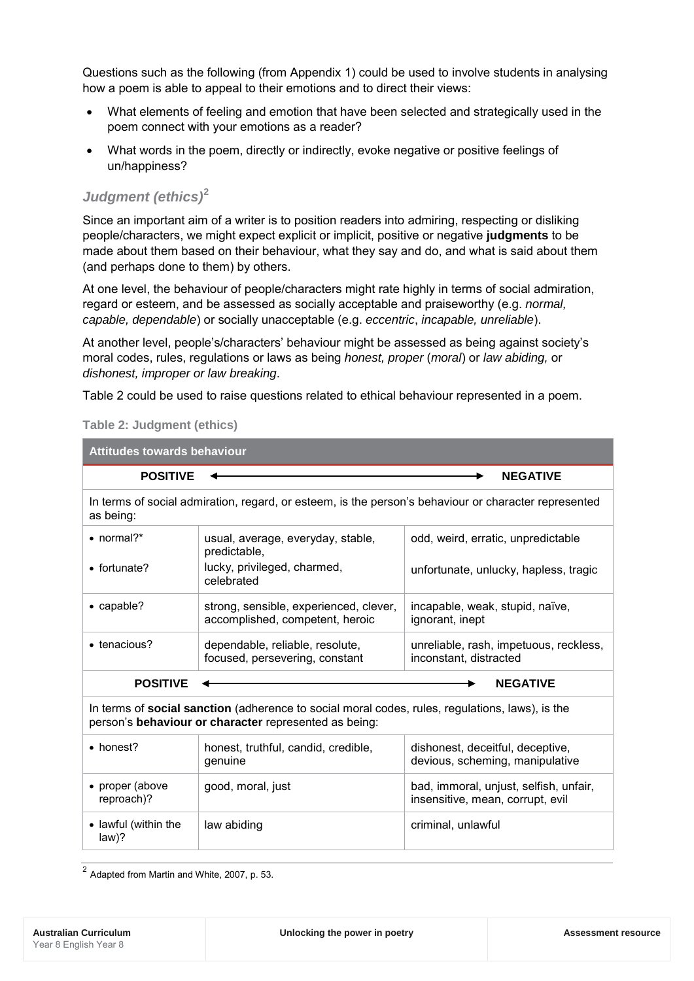Questions such as the following (from Appendix 1) could be used to involve students in analysing how a poem is able to appeal to their emotions and to direct their views:

- What elements of feeling and emotion that have been selected and strategically used in the poem connect with your emotions as a reader?
- What words in the poem, directly or indirectly, evoke negative or positive feelings of un/happiness?

## *Judgment (ethics)***[2](#page-35-0)**

Since an important aim of a writer is to position readers into admiring, respecting or disliking people/characters, we might expect explicit or implicit, positive or negative **judgments** to be made about them based on their behaviour, what they say and do, and what is said about them (and perhaps done to them) by others.

At one level, the behaviour of people/characters might rate highly in terms of social admiration, regard or esteem, and be assessed as socially acceptable and praiseworthy (e.g. *normal, capable, dependable*) or socially unacceptable (e.g. *eccentric*, *incapable, unreliable*).

At another level, people's/characters' behaviour might be assessed as being against society's moral codes, rules, regulations or laws as being *honest, proper* (*moral*) or *law abiding,* or *dishonest, improper or law breaking*.

Table 2 could be used to raise questions related to ethical behaviour represented in a poem.

| Attitudes towards behaviour                                                                                                                              |                                                                                                      |                                                                            |  |  |  |
|----------------------------------------------------------------------------------------------------------------------------------------------------------|------------------------------------------------------------------------------------------------------|----------------------------------------------------------------------------|--|--|--|
| <b>POSITIVE</b><br><b>NEGATIVE</b>                                                                                                                       |                                                                                                      |                                                                            |  |  |  |
| as being:                                                                                                                                                | In terms of social admiration, regard, or esteem, is the person's behaviour or character represented |                                                                            |  |  |  |
| $\bullet$ normal?*                                                                                                                                       | usual, average, everyday, stable,<br>predictable,                                                    | odd, weird, erratic, unpredictable                                         |  |  |  |
| • fortunate?                                                                                                                                             | lucky, privileged, charmed,<br>celebrated                                                            | unfortunate, unlucky, hapless, tragic                                      |  |  |  |
| • capable?                                                                                                                                               | strong, sensible, experienced, clever,<br>accomplished, competent, heroic                            | incapable, weak, stupid, naïve,<br>ignorant, inept                         |  |  |  |
| • tenacious?                                                                                                                                             | dependable, reliable, resolute,<br>focused, persevering, constant                                    | unreliable, rash, impetuous, reckless,<br>inconstant, distracted           |  |  |  |
| <b>POSITIVE</b>                                                                                                                                          |                                                                                                      | <b>NEGATIVE</b>                                                            |  |  |  |
| In terms of social sanction (adherence to social moral codes, rules, regulations, laws), is the<br>person's behaviour or character represented as being: |                                                                                                      |                                                                            |  |  |  |
| • honest?                                                                                                                                                | honest, truthful, candid, credible,<br>genuine                                                       | dishonest, deceitful, deceptive,<br>devious, scheming, manipulative        |  |  |  |
| • proper (above<br>reproach)?                                                                                                                            | good, moral, just                                                                                    | bad, immoral, unjust, selfish, unfair,<br>insensitive, mean, corrupt, evil |  |  |  |
| • lawful (within the<br>$law$ ?                                                                                                                          | law abiding                                                                                          | criminal, unlawful                                                         |  |  |  |
|                                                                                                                                                          |                                                                                                      |                                                                            |  |  |  |

## **Table 2: Judgment (ethics)**

<span id="page-35-0"></span> $2$  Adapted from Martin and White, 2007, p. 53.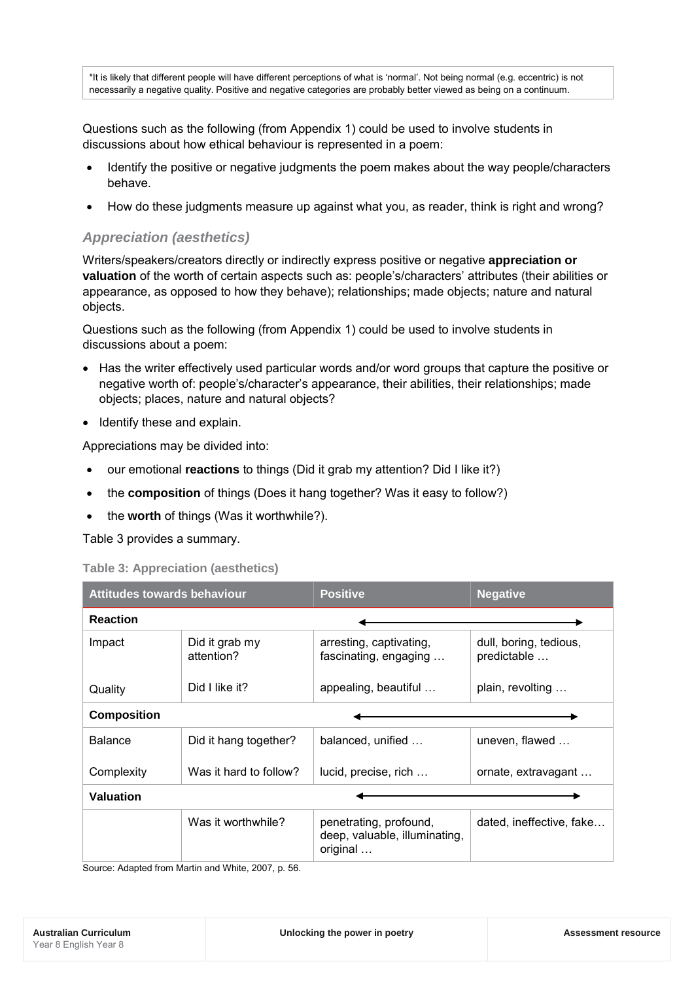\*It is likely that different people will have different perceptions of what is 'normal'. Not being normal (e.g. eccentric) is not necessarily a negative quality. Positive and negative categories are probably better viewed as being on a continuum.

Questions such as the following (from Appendix 1) could be used to involve students in discussions about how ethical behaviour is represented in a poem:

- Identify the positive or negative judgments the poem makes about the way people/characters behave.
- How do these judgments measure up against what you, as reader, think is right and wrong?

## *Appreciation (aesthetics)*

Writers/speakers/creators directly or indirectly express positive or negative **appreciation or valuation** of the worth of certain aspects such as: people's/characters' attributes (their abilities or appearance, as opposed to how they behave); relationships; made objects; nature and natural objects.

Questions such as the following (from Appendix 1) could be used to involve students in discussions about a poem:

- Has the writer effectively used particular words and/or word groups that capture the positive or negative worth of: people's/character's appearance, their abilities, their relationships; made objects; places, nature and natural objects?
- Identify these and explain.

Appreciations may be divided into:

- our emotional **reactions** to things (Did it grab my attention? Did I like it?)
- the **composition** of things (Does it hang together? Was it easy to follow?)
- the **worth** of things (Was it worthwhile?).

Table 3 provides a summary.

## **Table 3: Appreciation (aesthetics)**

| <b>Attitudes towards behaviour</b> |                              | <b>Positive</b>                                                     | <b>Negative</b>                       |  |  |
|------------------------------------|------------------------------|---------------------------------------------------------------------|---------------------------------------|--|--|
| <b>Reaction</b>                    |                              |                                                                     |                                       |  |  |
| Impact                             | Did it grab my<br>attention? | arresting, captivating,<br>fascinating, engaging                    | dull, boring, tedious,<br>predictable |  |  |
| Quality                            | Did I like it?               | appealing, beautiful                                                | plain, revolting                      |  |  |
| <b>Composition</b>                 |                              |                                                                     |                                       |  |  |
| <b>Balance</b>                     | Did it hang together?        | balanced, unified                                                   | uneven, flawed                        |  |  |
| Complexity                         | Was it hard to follow?       | lucid, precise, rich                                                | ornate, extravagant                   |  |  |
| <b>Valuation</b>                   |                              |                                                                     |                                       |  |  |
|                                    | Was it worthwhile?           | penetrating, profound,<br>deep, valuable, illuminating,<br>original | dated, ineffective, fake              |  |  |

Source: Adapted from Martin and White, 2007, p. 56.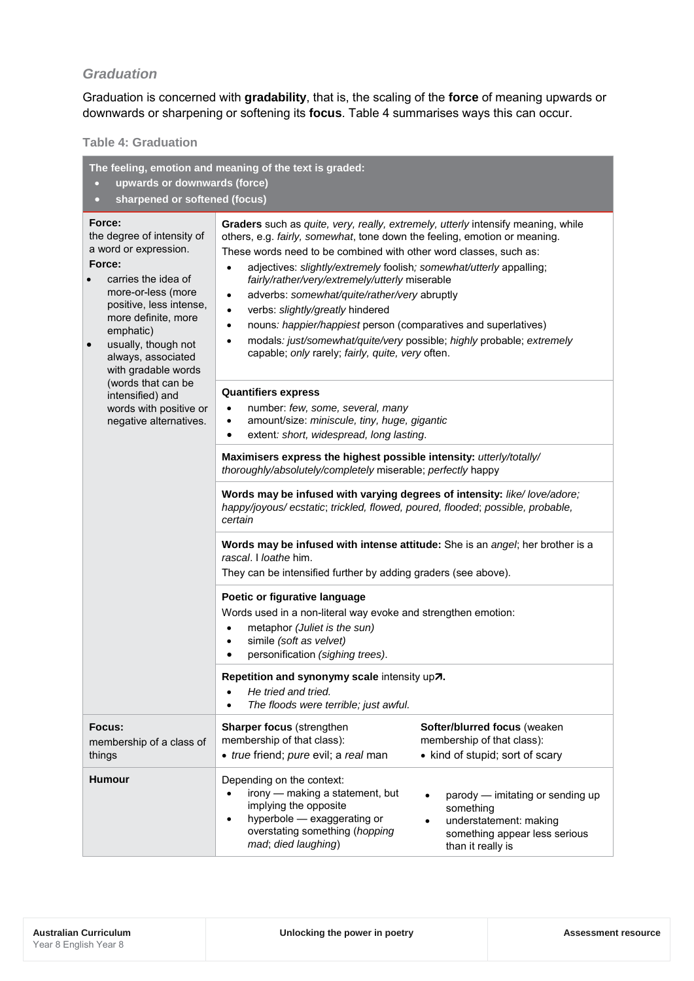## *Graduation*

Graduation is concerned with **gradability**, that is, the scaling of the **force** of meaning upwards or downwards or sharpening or softening its **focus**. Table 4 summarises ways this can occur.

> *fairly/rather/very/extremely/utterly* miserable • adverbs: *somewhat/quite/rather/very* abruptly

capable; *only* rarely; *fairly, quite, very* often.

## **Table 4: Graduation**

**The feeling, emotion and meaning of the text is graded:**

• **upwards or downwards (force)** • **sharpened or softened (focus)**

#### **Force:**

the degree of intensity of a word or expression.

#### **Force:**

- carries the idea of more-or-less (more positive, less intense, more definite, more emphatic)
- usually, though not always, associated with gradable words (words that can be intensified) and words with positive or

negative alternatives.

- **Quantifiers express**
	- number: *few, some, several, many*

• verbs: *slightly/greatly* hindered

- amount/size: *miniscule, tiny, huge, gigantic*
- extent*: short, widespread, long lasting*.

**Maximisers express the highest possible intensity:** *utterly/totally/ thoroughly/absolutely/completely* miserable; *perfectly* happy

• nouns*: happier/happiest* person (comparatives and superlatives) • modals*: just/somewhat/quite/very* possible; *highly* probable; *extremely*

**Words may be infused with varying degrees of intensity:** *like/ love/adore; happy/joyous/ ecstatic*; *trickled, flowed, poured, flooded*; *possible, probable, certain*

**Graders** such as *quite, very, really, extremely, utterly* intensify meaning, while others, e.g. *fairly, somewhat*, tone down the feeling, emotion or meaning. These words need to be combined with other word classes, such as: • adjectives: *slightly/extremely* foolish*; somewhat/utterly* appalling;

**Words may be infused with intense attitude:** She is an *angel*; her brother is a *rascal*. I *loathe* him.

They can be intensified further by adding graders (see above).

### **Poetic or figurative language**

Words used in a non-literal way evoke and strengthen emotion:

- metaphor *(Juliet is the sun)*
- simile *(soft as velvet)*
- personification *(sighing trees)*.

### Repetition and synonymy scale intensity up<sub>7</sub>.

- *He tried and tried.*
- *The floods were terrible; just awful.* **Focus:** membership of a class of things **Sharper focus** (strengthen membership of that class): • *true* friend; *pure* evil; a *real* man **Softer/blurred focus** (weaken membership of that class): • kind of stupid; sort of scary **Humour Depending on the context:** • irony — making a statement, but implying the opposite • hyperbole — exaggerating or overstating something (*hopping mad*; *died laughing*) • parody — imitating or sending up something understatement: making something appear less serious than it really is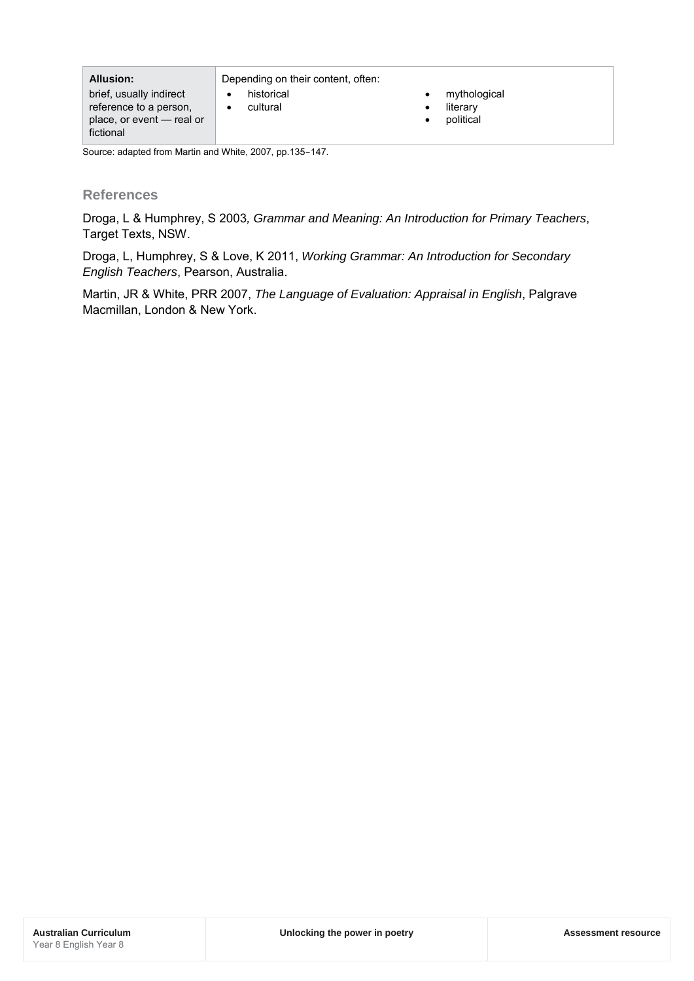| <b>Allusion:</b>          | Depending on their content, often: |              |
|---------------------------|------------------------------------|--------------|
| brief, usually indirect   | historical                         | mythological |
| reference to a person,    | cultural                           | literary     |
| place, or event - real or |                                    | political    |
| fictional                 |                                    |              |

Source: adapted from Martin and White, 2007, pp.135–147.

## **References**

Droga, L & Humphrey, S 2003*, Grammar and Meaning: An Introduction for Primary Teachers*, Target Texts, NSW.

Droga, L, Humphrey, S & Love, K 2011, *Working Grammar: An Introduction for Secondary English Teachers*, Pearson, Australia.

Martin, JR & White, PRR 2007, *The Language of Evaluation: Appraisal in English*, Palgrave Macmillan, London & New York.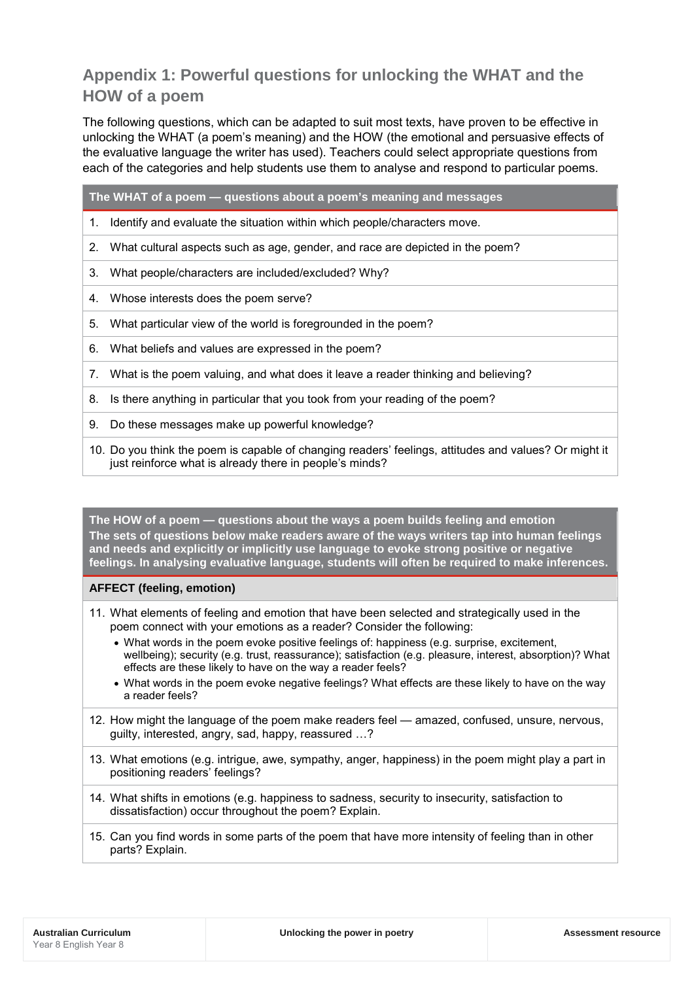## **Appendix 1: Powerful questions for unlocking the WHAT and the HOW of a poem**

The following questions, which can be adapted to suit most texts, have proven to be effective in unlocking the WHAT (a poem's meaning) and the HOW (the emotional and persuasive effects of the evaluative language the writer has used). Teachers could select appropriate questions from each of the categories and help students use them to analyse and respond to particular poems.

**The WHAT of a poem — questions about a poem's meaning and messages**

- 1. Identify and evaluate the situation within which people/characters move.
- 2. What cultural aspects such as age, gender, and race are depicted in the poem?
- 3. What people/characters are included/excluded? Why?
- 4. Whose interests does the poem serve?
- 5. What particular view of the world is foregrounded in the poem?
- 6. What beliefs and values are expressed in the poem?
- 7. What is the poem valuing, and what does it leave a reader thinking and believing?
- 8. Is there anything in particular that you took from your reading of the poem?
- 9. Do these messages make up powerful knowledge?
- 10. Do you think the poem is capable of changing readers' feelings, attitudes and values? Or might it just reinforce what is already there in people's minds?

**The HOW of a poem — questions about the ways a poem builds feeling and emotion The sets of questions below make readers aware of the ways writers tap into human feelings and needs and explicitly or implicitly use language to evoke strong positive or negative feelings. In analysing evaluative language, students will often be required to make inferences.**

### **AFFECT (feeling, emotion)**

- 11. What elements of feeling and emotion that have been selected and strategically used in the poem connect with your emotions as a reader? Consider the following:
	- What words in the poem evoke positive feelings of: happiness (e.g. surprise, excitement, wellbeing); security (e.g. trust, reassurance); satisfaction (e.g. pleasure, interest, absorption)? What effects are these likely to have on the way a reader feels?
	- What words in the poem evoke negative feelings? What effects are these likely to have on the way a reader feels?
- 12. How might the language of the poem make readers feel amazed, confused, unsure, nervous, guilty, interested, angry, sad, happy, reassured …?
- 13. What emotions (e.g. intrigue, awe, sympathy, anger, happiness) in the poem might play a part in positioning readers' feelings?
- 14. What shifts in emotions (e.g. happiness to sadness, security to insecurity, satisfaction to dissatisfaction) occur throughout the poem? Explain.
- 15. Can you find words in some parts of the poem that have more intensity of feeling than in other parts? Explain.